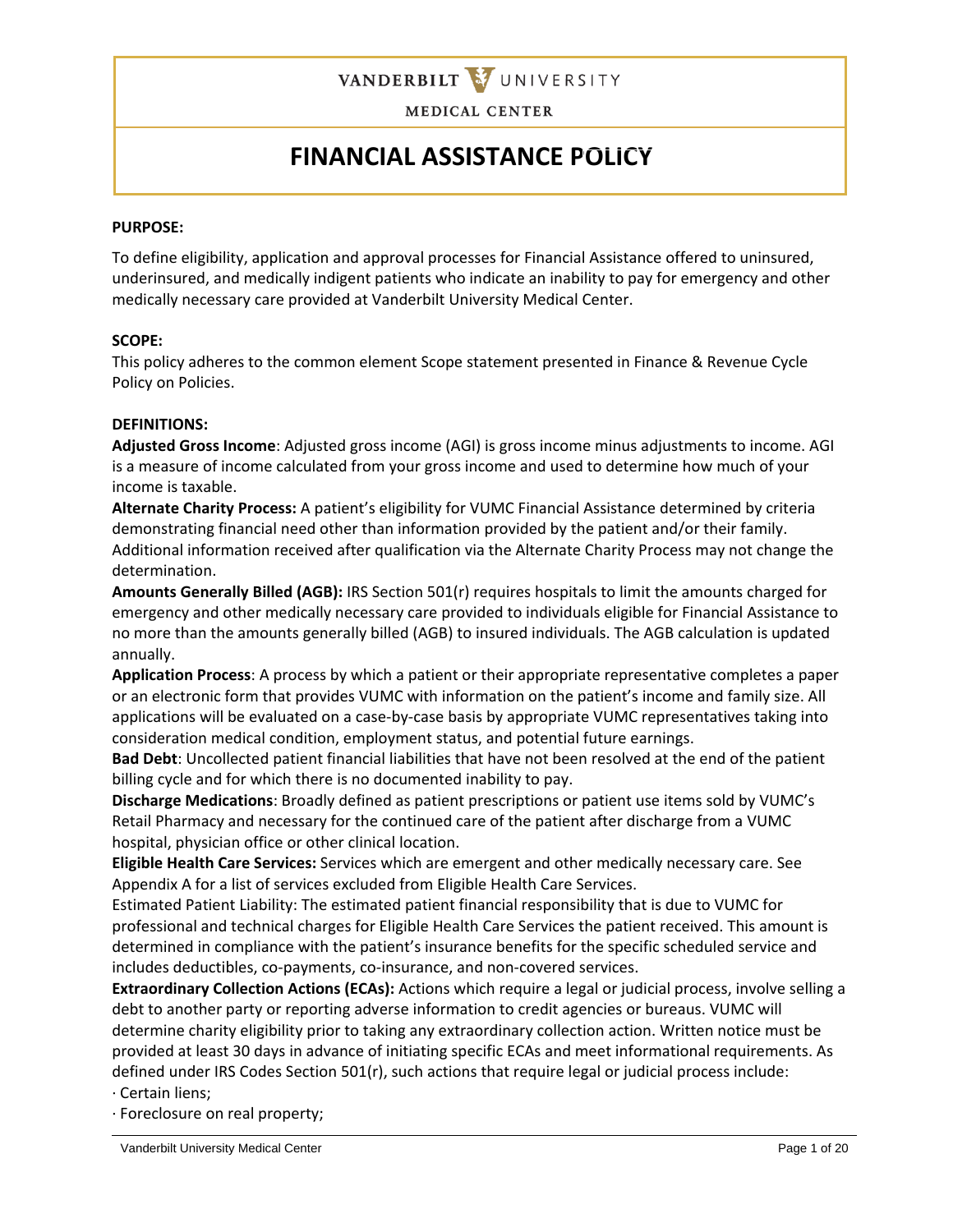

# **FINANCIAL ASSISTANCE POLICY**

#### **PURPOSE:**

To define eligibility, application and approval processes for Financial Assistance offered to uninsured, underinsured, and medically indigent patients who indicate an inability to pay for emergency and other medically necessary care provided at Vanderbilt University Medical Center.

#### **SCOPE:**

This policy adheres to the common element Scope statement presented in Finance & Revenue Cycle Policy on Policies.

#### **DEFINITIONS:**

**Adjusted Gross Income**: Adjusted gross income (AGI) is gross income minus adjustments to income. AGI is a measure of income calculated from your gross income and used to determine how much of your income is taxable.

**Alternate Charity Process:** A patient's eligibility for VUMC Financial Assistance determined by criteria demonstrating financial need other than information provided by the patient and/or their family. Additional information received after qualification via the Alternate Charity Process may not change the determination.

**Amounts Generally Billed (AGB):** IRS Section 501(r) requires hospitals to limit the amounts charged for emergency and other medically necessary care provided to individuals eligible for Financial Assistance to no more than the amounts generally billed (AGB) to insured individuals. The AGB calculation is updated annually.

**Application Process**: A process by which a patient or their appropriate representative completes a paper or an electronic form that provides VUMC with information on the patient's income and family size. All applications will be evaluated on a case-by-case basis by appropriate VUMC representatives taking into consideration medical condition, employment status, and potential future earnings.

**Bad Debt**: Uncollected patient financial liabilities that have not been resolved at the end of the patient billing cycle and for which there is no documented inability to pay.

**Discharge Medications**: Broadly defined as patient prescriptions or patient use items sold by VUMC's Retail Pharmacy and necessary for the continued care of the patient after discharge from a VUMC hospital, physician office or other clinical location.

**Eligible Health Care Services:** Services which are emergent and other medically necessary care. See Appendix A for a list of services excluded from Eligible Health Care Services.

Estimated Patient Liability: The estimated patient financial responsibility that is due to VUMC for professional and technical charges for Eligible Health Care Services the patient received. This amount is determined in compliance with the patient's insurance benefits for the specific scheduled service and includes deductibles, co-payments, co-insurance, and non-covered services.

**Extraordinary Collection Actions (ECAs):** Actions which require a legal or judicial process, involve selling a debt to another party or reporting adverse information to credit agencies or bureaus. VUMC will determine charity eligibility prior to taking any extraordinary collection action. Written notice must be provided at least 30 days in advance of initiating specific ECAs and meet informational requirements. As defined under IRS Codes Section 501(r), such actions that require legal or judicial process include:

· Certain liens;

· Foreclosure on real property;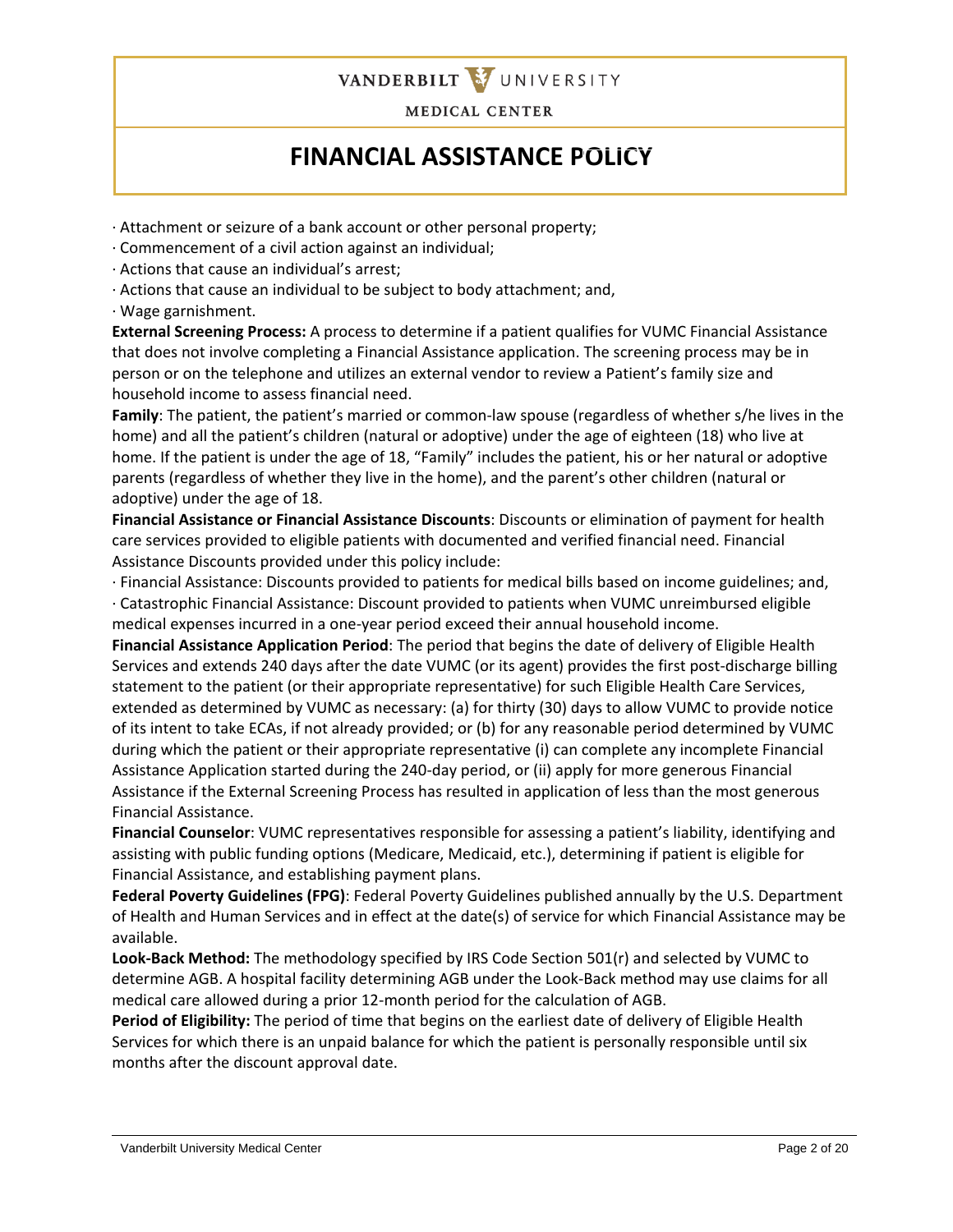

# **FINANCIAL ASSISTANCE POLICY**

· Attachment or seizure of a bank account or other personal property;

- · Commencement of a civil action against an individual;
- · Actions that cause an individual's arrest;
- · Actions that cause an individual to be subject to body attachment; and,

· Wage garnishment.

**External Screening Process:** A process to determine if a patient qualifies for VUMC Financial Assistance that does not involve completing a Financial Assistance application. The screening process may be in person or on the telephone and utilizes an external vendor to review a Patient's family size and household income to assess financial need.

**Family**: The patient, the patient's married or common-law spouse (regardless of whether s/he lives in the home) and all the patient's children (natural or adoptive) under the age of eighteen (18) who live at home. If the patient is under the age of 18, "Family" includes the patient, his or her natural or adoptive parents (regardless of whether they live in the home), and the parent's other children (natural or adoptive) under the age of 18.

**Financial Assistance or Financial Assistance Discounts**: Discounts or elimination of payment for health care services provided to eligible patients with documented and verified financial need. Financial Assistance Discounts provided under this policy include:

· Financial Assistance: Discounts provided to patients for medical bills based on income guidelines; and,

· Catastrophic Financial Assistance: Discount provided to patients when VUMC unreimbursed eligible medical expenses incurred in a one-year period exceed their annual household income.

**Financial Assistance Application Period**: The period that begins the date of delivery of Eligible Health Services and extends 240 days after the date VUMC (or its agent) provides the first post-discharge billing statement to the patient (or their appropriate representative) for such Eligible Health Care Services, extended as determined by VUMC as necessary: (a) for thirty (30) days to allow VUMC to provide notice of its intent to take ECAs, if not already provided; or (b) for any reasonable period determined by VUMC during which the patient or their appropriate representative (i) can complete any incomplete Financial Assistance Application started during the 240-day period, or (ii) apply for more generous Financial Assistance if the External Screening Process has resulted in application of less than the most generous Financial Assistance.

**Financial Counselor**: VUMC representatives responsible for assessing a patient's liability, identifying and assisting with public funding options (Medicare, Medicaid, etc.), determining if patient is eligible for Financial Assistance, and establishing payment plans.

**Federal Poverty Guidelines (FPG)**: Federal Poverty Guidelines published annually by the U.S. Department of Health and Human Services and in effect at the date(s) of service for which Financial Assistance may be available.

**Look-Back Method:** The methodology specified by IRS Code Section 501(r) and selected by VUMC to determine AGB. A hospital facility determining AGB under the Look-Back method may use claims for all medical care allowed during a prior 12-month period for the calculation of AGB.

**Period of Eligibility:** The period of time that begins on the earliest date of delivery of Eligible Health Services for which there is an unpaid balance for which the patient is personally responsible until six months after the discount approval date.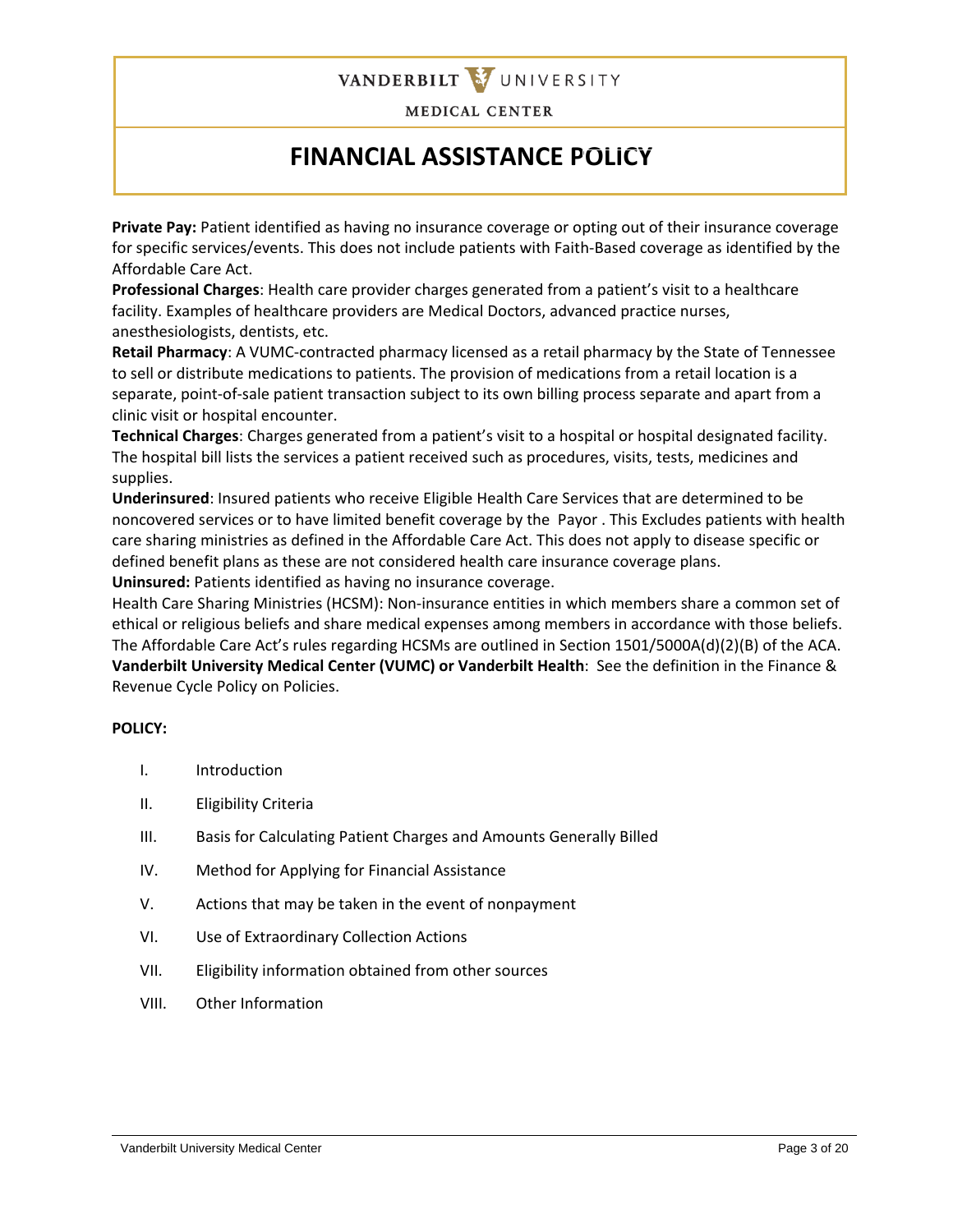

# **FINANCIAL ASSISTANCE POLICY**

**Private Pay:** Patient identified as having no insurance coverage or opting out of their insurance coverage for specific services/events. This does not include patients with Faith-Based coverage as identified by the Affordable Care Act.

**Professional Charges**: Health care provider charges generated from a patient's visit to a healthcare facility. Examples of healthcare providers are Medical Doctors, advanced practice nurses, anesthesiologists, dentists, etc.

**Retail Pharmacy**: A VUMC-contracted pharmacy licensed as a retail pharmacy by the State of Tennessee to sell or distribute medications to patients. The provision of medications from a retail location is a separate, point-of-sale patient transaction subject to its own billing process separate and apart from a clinic visit or hospital encounter.

**Technical Charges**: Charges generated from a patient's visit to a hospital or hospital designated facility. The hospital bill lists the services a patient received such as procedures, visits, tests, medicines and supplies.

**Underinsured**: Insured patients who receive Eligible Health Care Services that are determined to be noncovered services or to have limited benefit coverage by the Payor . This Excludes patients with health care sharing ministries as defined in the Affordable Care Act. This does not apply to disease specific or defined benefit plans as these are not considered health care insurance coverage plans. **Uninsured:** Patients identified as having no insurance coverage.

Health Care Sharing Ministries (HCSM): Non-insurance entities in which members share a common set of ethical or religious beliefs and share medical expenses among members in accordance with those beliefs. The Affordable Care Act's rules regarding HCSMs are outlined in Section 1501/5000A(d)(2)(B) of the ACA. **Vanderbilt University Medical Center (VUMC) or Vanderbilt Health**: See the definition in the Finance & Revenue Cycle Policy on Policies.

### **POLICY:**

- I. Introduction
- II. Eligibility Criteria
- III. Basis for Calculating Patient Charges and Amounts Generally Billed
- IV. Method for Applying for Financial Assistance
- V. Actions that may be taken in the event of nonpayment
- VI. Use of Extraordinary Collection Actions
- VII. Eligibility information obtained from other sources
- VIII. Other Information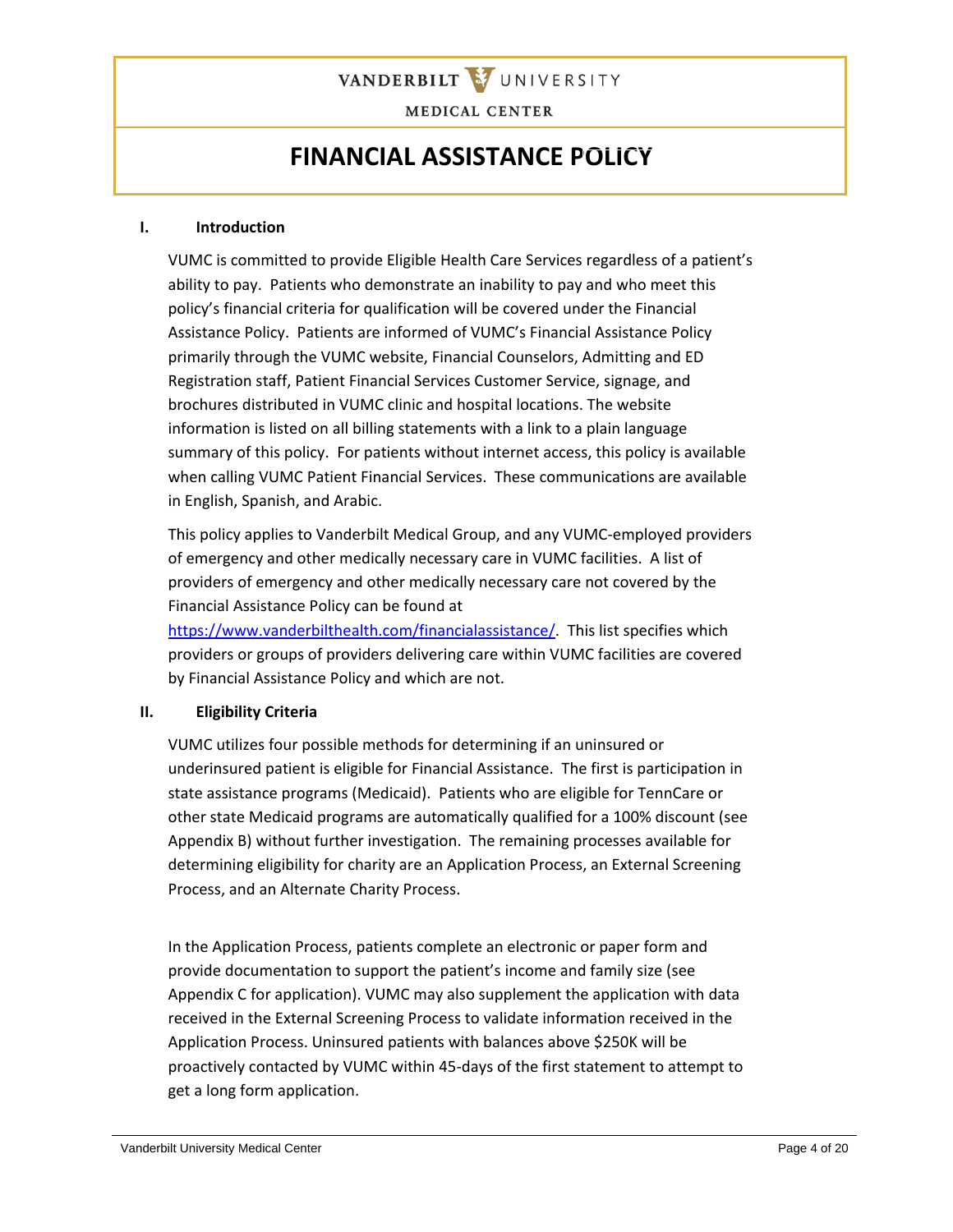

### **FINANCIAL ASSISTANCE POLICY**

#### **I. Introduction**

VUMC is committed to provide Eligible Health Care Services regardless of a patient's ability to pay. Patients who demonstrate an inability to pay and who meet this policy's financial criteria for qualification will be covered under the Financial Assistance Policy. Patients are informed of VUMC's Financial Assistance Policy primarily through the VUMC website, Financial Counselors, Admitting and ED Registration staff, Patient Financial Services Customer Service, signage, and brochures distributed in VUMC clinic and hospital locations. The website information is listed on all billing statements with a link to a plain language summary of this policy. For patients without internet access, this policy is available when calling VUMC Patient Financial Services. These communications are available in English, Spanish, and Arabic.

This policy applies to Vanderbilt Medical Group, and any VUMC-employed providers of emergency and other medically necessary care in VUMC facilities. A list of providers of emergency and other medically necessary care not covered by the Financial Assistance Policy can be found at

[https://www.vanderbilthealth.com/financialassistance/.](https://www.vanderbilthealth.com/financialassistance/) This list specifies which providers or groups of providers delivering care within VUMC facilities are covered by Financial Assistance Policy and which are not.

#### **II. Eligibility Criteria**

VUMC utilizes four possible methods for determining if an uninsured or underinsured patient is eligible for Financial Assistance. The first is participation in state assistance programs (Medicaid). Patients who are eligible for TennCare or other state Medicaid programs are automatically qualified for a 100% discount (see Appendix B) without further investigation. The remaining processes available for determining eligibility for charity are an Application Process, an External Screening Process, and an Alternate Charity Process.

In the Application Process, patients complete an electronic or paper form and provide documentation to support the patient's income and family size (see Appendix C for application). VUMC may also supplement the application with data received in the External Screening Process to validate information received in the Application Process. Uninsured patients with balances above \$250K will be proactively contacted by VUMC within 45-days of the first statement to attempt to get a long form application.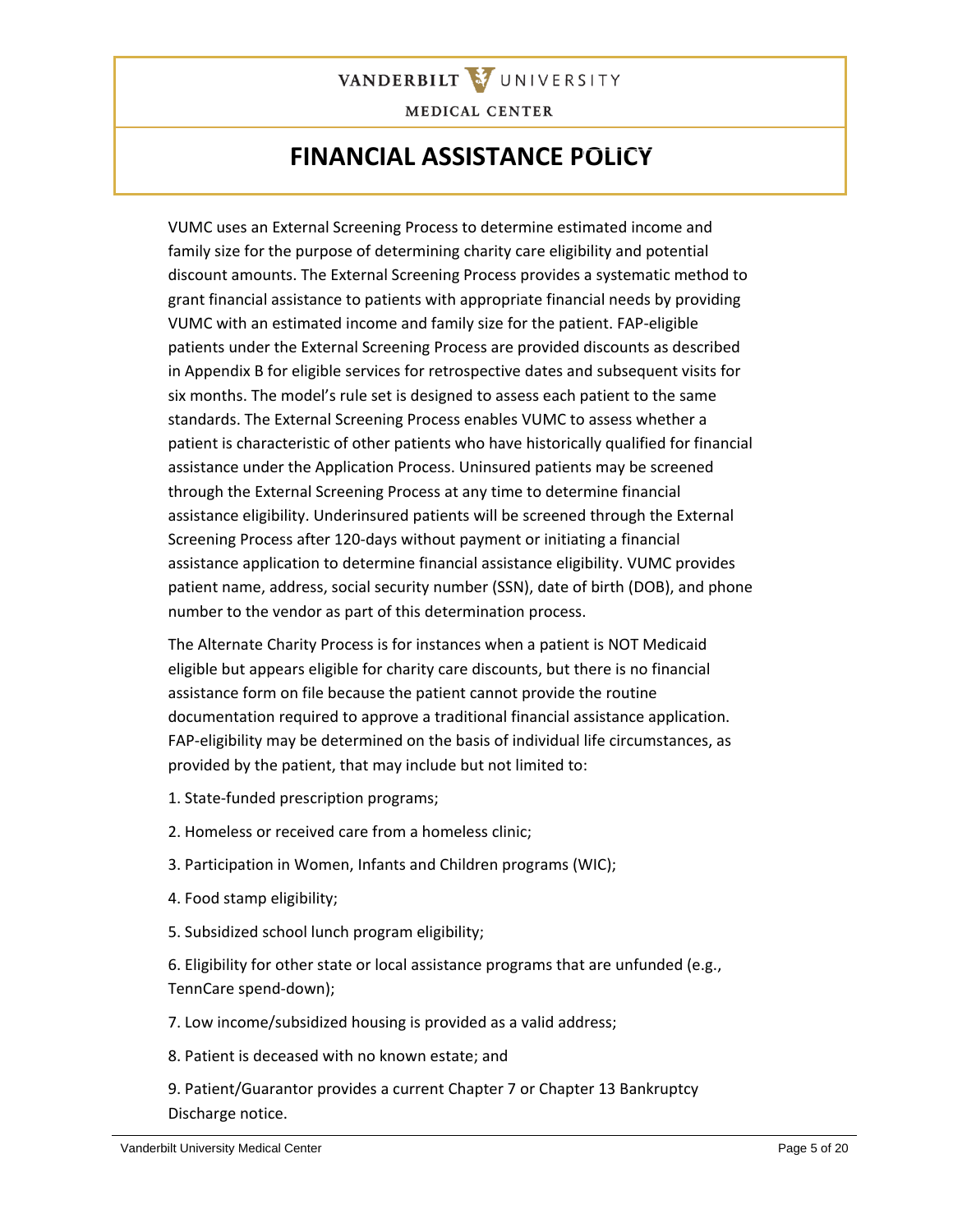

### **FINANCIAL ASSISTANCE POLICY**

VUMC uses an External Screening Process to determine estimated income and family size for the purpose of determining charity care eligibility and potential discount amounts. The External Screening Process provides a systematic method to grant financial assistance to patients with appropriate financial needs by providing VUMC with an estimated income and family size for the patient. FAP-eligible patients under the External Screening Process are provided discounts as described in Appendix B for eligible services for retrospective dates and subsequent visits for six months. The model's rule set is designed to assess each patient to the same standards. The External Screening Process enables VUMC to assess whether a patient is characteristic of other patients who have historically qualified for financial assistance under the Application Process. Uninsured patients may be screened through the External Screening Process at any time to determine financial assistance eligibility. Underinsured patients will be screened through the External Screening Process after 120-days without payment or initiating a financial assistance application to determine financial assistance eligibility. VUMC provides patient name, address, social security number (SSN), date of birth (DOB), and phone number to the vendor as part of this determination process.

The Alternate Charity Process is for instances when a patient is NOT Medicaid eligible but appears eligible for charity care discounts, but there is no financial assistance form on file because the patient cannot provide the routine documentation required to approve a traditional financial assistance application. FAP-eligibility may be determined on the basis of individual life circumstances, as provided by the patient, that may include but not limited to:

- 1. State-funded prescription programs;
- 2. Homeless or received care from a homeless clinic;
- 3. Participation in Women, Infants and Children programs (WIC);
- 4. Food stamp eligibility;
- 5. Subsidized school lunch program eligibility;

6. Eligibility for other state or local assistance programs that are unfunded (e.g., TennCare spend-down);

7. Low income/subsidized housing is provided as a valid address;

- 8. Patient is deceased with no known estate; and
- 9. Patient/Guarantor provides a current Chapter 7 or Chapter 13 Bankruptcy Discharge notice.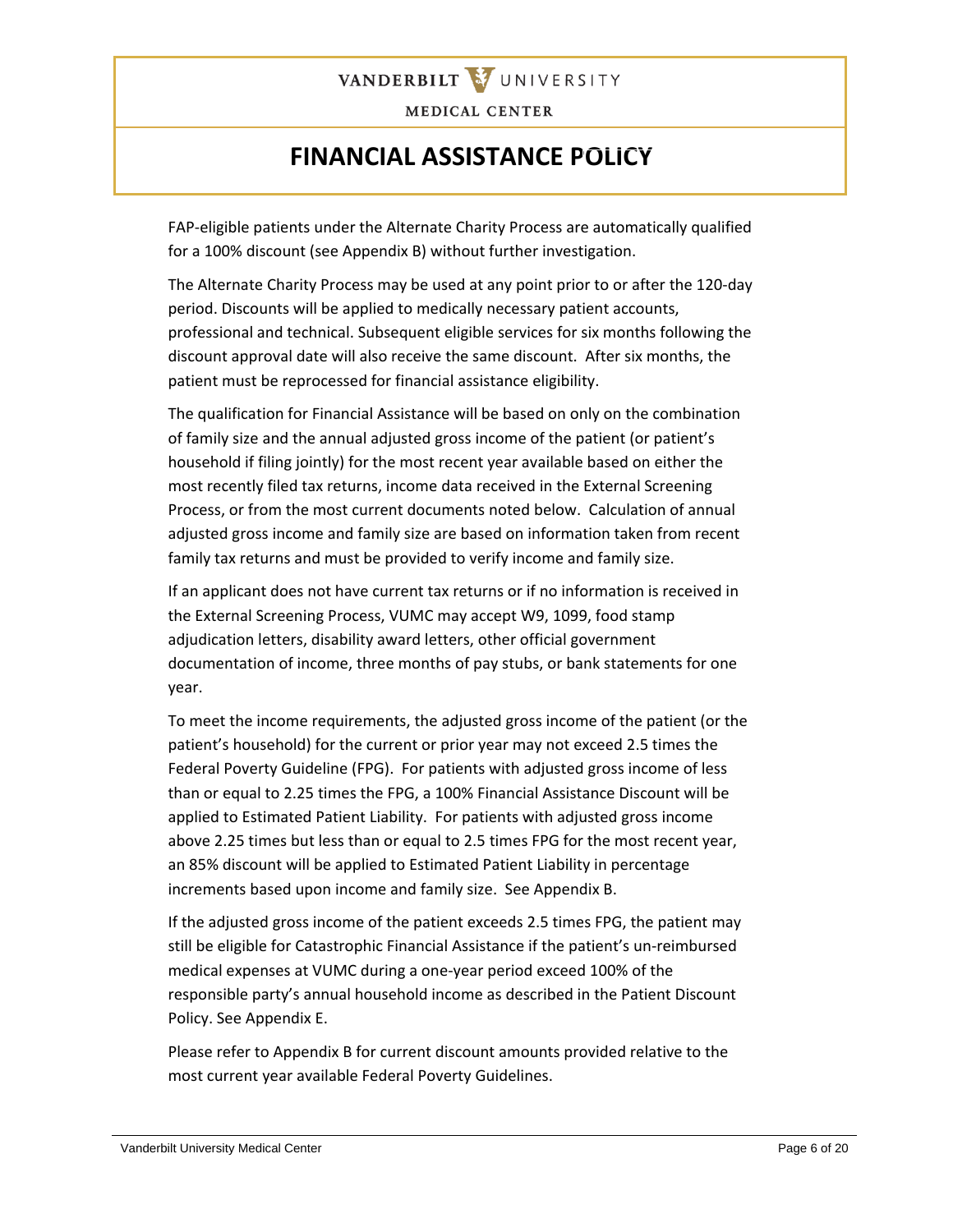

### **FINANCIAL ASSISTANCE POLICY**

FAP-eligible patients under the Alternate Charity Process are automatically qualified for a 100% discount (see Appendix B) without further investigation.

The Alternate Charity Process may be used at any point prior to or after the 120-day period. Discounts will be applied to medically necessary patient accounts, professional and technical. Subsequent eligible services for six months following the discount approval date will also receive the same discount. After six months, the patient must be reprocessed for financial assistance eligibility.

The qualification for Financial Assistance will be based on only on the combination of family size and the annual adjusted gross income of the patient (or patient's household if filing jointly) for the most recent year available based on either the most recently filed tax returns, income data received in the External Screening Process, or from the most current documents noted below. Calculation of annual adjusted gross income and family size are based on information taken from recent family tax returns and must be provided to verify income and family size.

If an applicant does not have current tax returns or if no information is received in the External Screening Process, VUMC may accept W9, 1099, food stamp adjudication letters, disability award letters, other official government documentation of income, three months of pay stubs, or bank statements for one year.

To meet the income requirements, the adjusted gross income of the patient (or the patient's household) for the current or prior year may not exceed 2.5 times the Federal Poverty Guideline (FPG). For patients with adjusted gross income of less than or equal to 2.25 times the FPG, a 100% Financial Assistance Discount will be applied to Estimated Patient Liability. For patients with adjusted gross income above 2.25 times but less than or equal to 2.5 times FPG for the most recent year, an 85% discount will be applied to Estimated Patient Liability in percentage increments based upon income and family size. See Appendix B.

If the adjusted gross income of the patient exceeds 2.5 times FPG, the patient may still be eligible for Catastrophic Financial Assistance if the patient's un-reimbursed medical expenses at VUMC during a one-year period exceed 100% of the responsible party's annual household income as described in the Patient Discount Policy. See Appendix E.

Please refer to Appendix B for current discount amounts provided relative to the most current year available Federal Poverty Guidelines.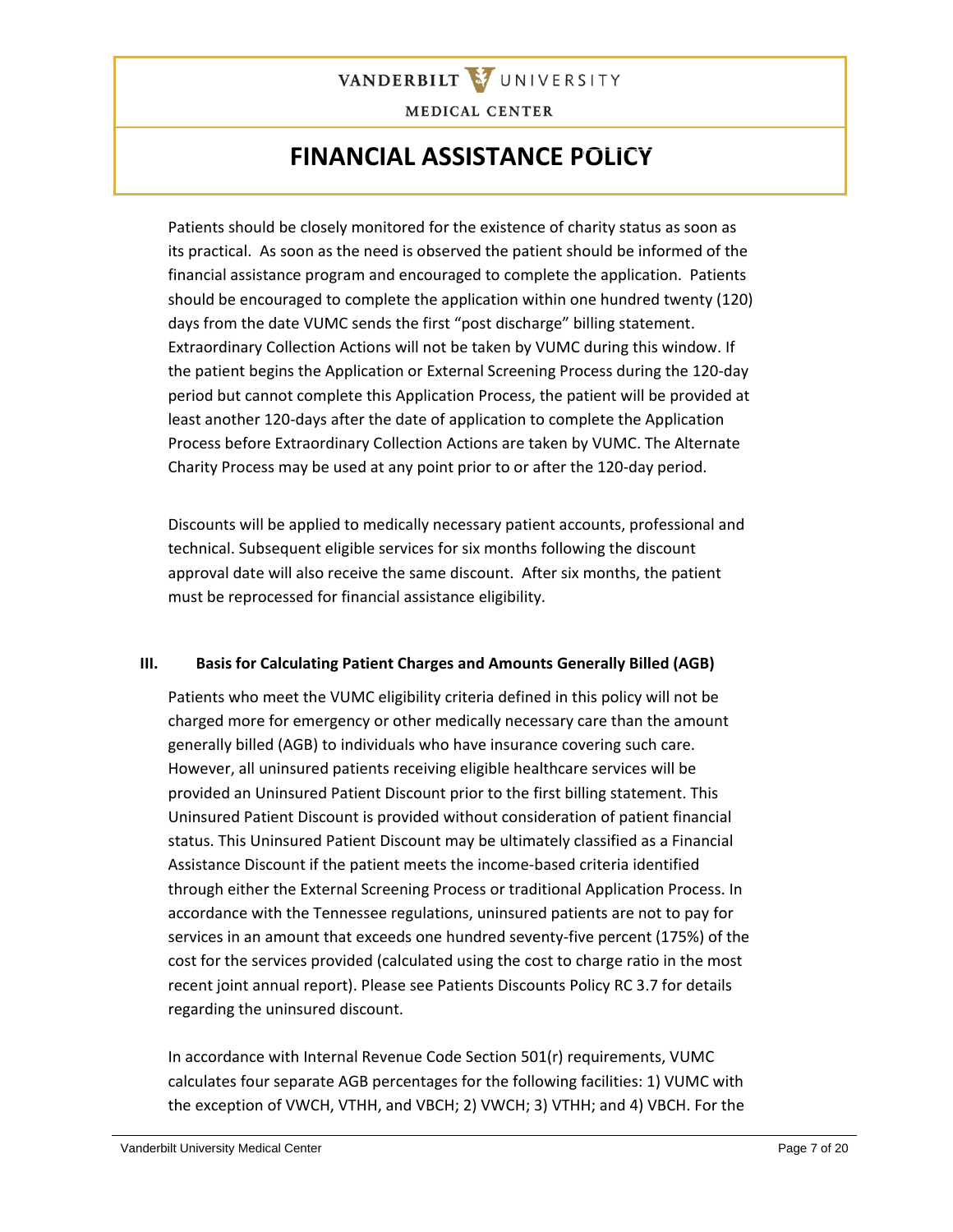

### **FINANCIAL ASSISTANCE POLICY**

Patients should be closely monitored for the existence of charity status as soon as its practical. As soon as the need is observed the patient should be informed of the financial assistance program and encouraged to complete the application. Patients should be encouraged to complete the application within one hundred twenty (120) days from the date VUMC sends the first "post discharge" billing statement. Extraordinary Collection Actions will not be taken by VUMC during this window. If the patient begins the Application or External Screening Process during the 120-day period but cannot complete this Application Process, the patient will be provided at least another 120-days after the date of application to complete the Application Process before Extraordinary Collection Actions are taken by VUMC. The Alternate Charity Process may be used at any point prior to or after the 120-day period.

Discounts will be applied to medically necessary patient accounts, professional and technical. Subsequent eligible services for six months following the discount approval date will also receive the same discount. After six months, the patient must be reprocessed for financial assistance eligibility.

### **III. Basis for Calculating Patient Charges and Amounts Generally Billed (AGB)**

Patients who meet the VUMC eligibility criteria defined in this policy will not be charged more for emergency or other medically necessary care than the amount generally billed (AGB) to individuals who have insurance covering such care. However, all uninsured patients receiving eligible healthcare services will be provided an Uninsured Patient Discount prior to the first billing statement. This Uninsured Patient Discount is provided without consideration of patient financial status. This Uninsured Patient Discount may be ultimately classified as a Financial Assistance Discount if the patient meets the income-based criteria identified through either the External Screening Process or traditional Application Process. In accordance with the Tennessee regulations, uninsured patients are not to pay for services in an amount that exceeds one hundred seventy-five percent (175%) of the cost for the services provided (calculated using the cost to charge ratio in the most recent joint annual report). Please see Patients Discounts Policy RC 3.7 for details regarding the uninsured discount.

In accordance with Internal Revenue Code Section 501(r) requirements, VUMC calculates four separate AGB percentages for the following facilities: 1) VUMC with the exception of VWCH, VTHH, and VBCH; 2) VWCH; 3) VTHH; and 4) VBCH. For the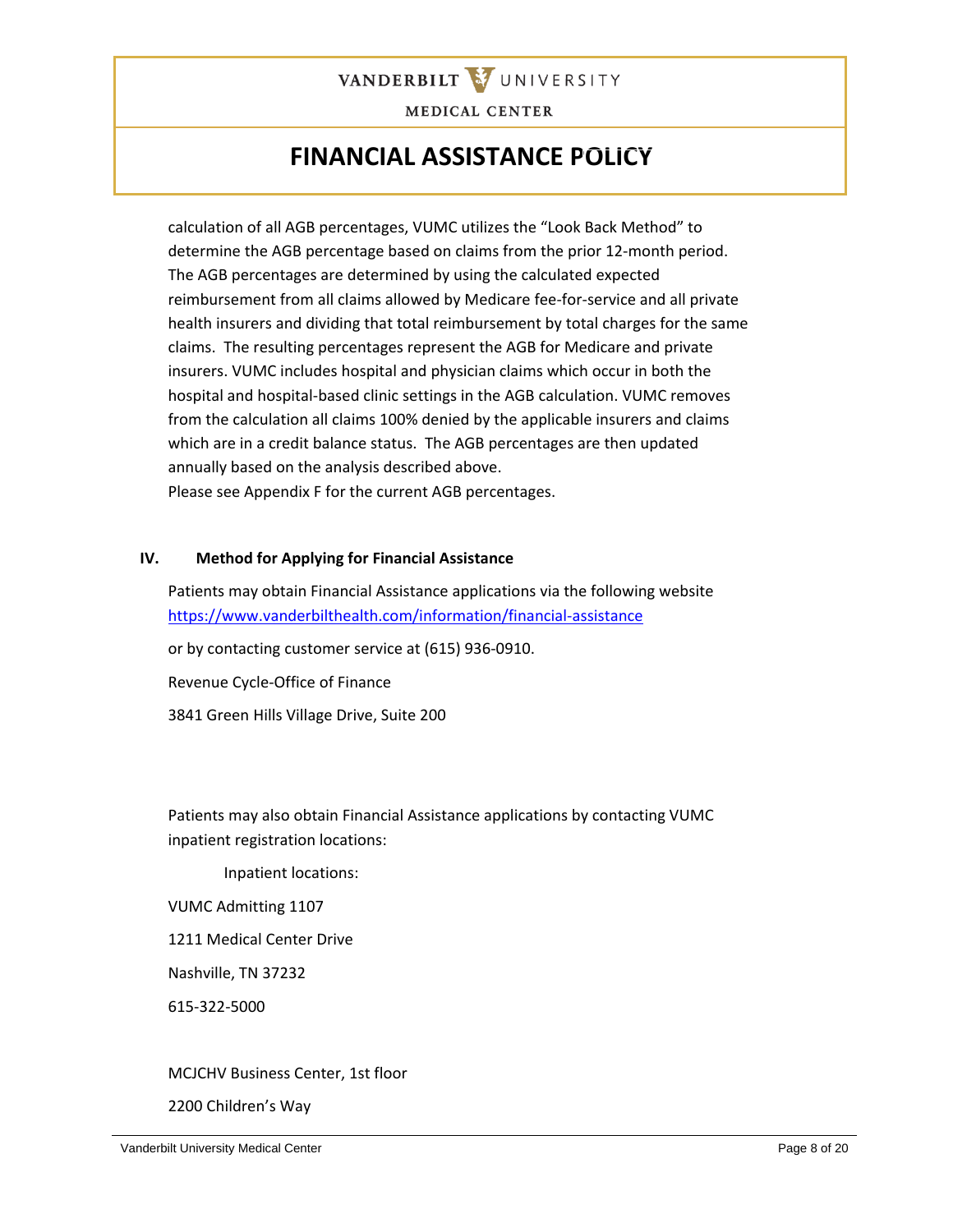

### **FINANCIAL ASSISTANCE POLICY**

calculation of all AGB percentages, VUMC utilizes the "Look Back Method" to determine the AGB percentage based on claims from the prior 12-month period. The AGB percentages are determined by using the calculated expected reimbursement from all claims allowed by Medicare fee-for-service and all private health insurers and dividing that total reimbursement by total charges for the same claims. The resulting percentages represent the AGB for Medicare and private insurers. VUMC includes hospital and physician claims which occur in both the hospital and hospital-based clinic settings in the AGB calculation. VUMC removes from the calculation all claims 100% denied by the applicable insurers and claims which are in a credit balance status. The AGB percentages are then updated annually based on the analysis described above. Please see Appendix F for the current AGB percentages.

#### **IV. Method for Applying for Financial Assistance**

Patients may obtain Financial Assistance applications via the following website <https://www.vanderbilthealth.com/information/financial-assistance>

or by contacting customer service at (615) 936-0910.

Revenue Cycle-Office of Finance

3841 Green Hills Village Drive, Suite 200

Patients may also obtain Financial Assistance applications by contacting VUMC inpatient registration locations:

Inpatient locations:

VUMC Admitting 1107

1211 Medical Center Drive

Nashville, TN 37232

615-322-5000

### MCJCHV Business Center, 1st floor

2200 Children's Way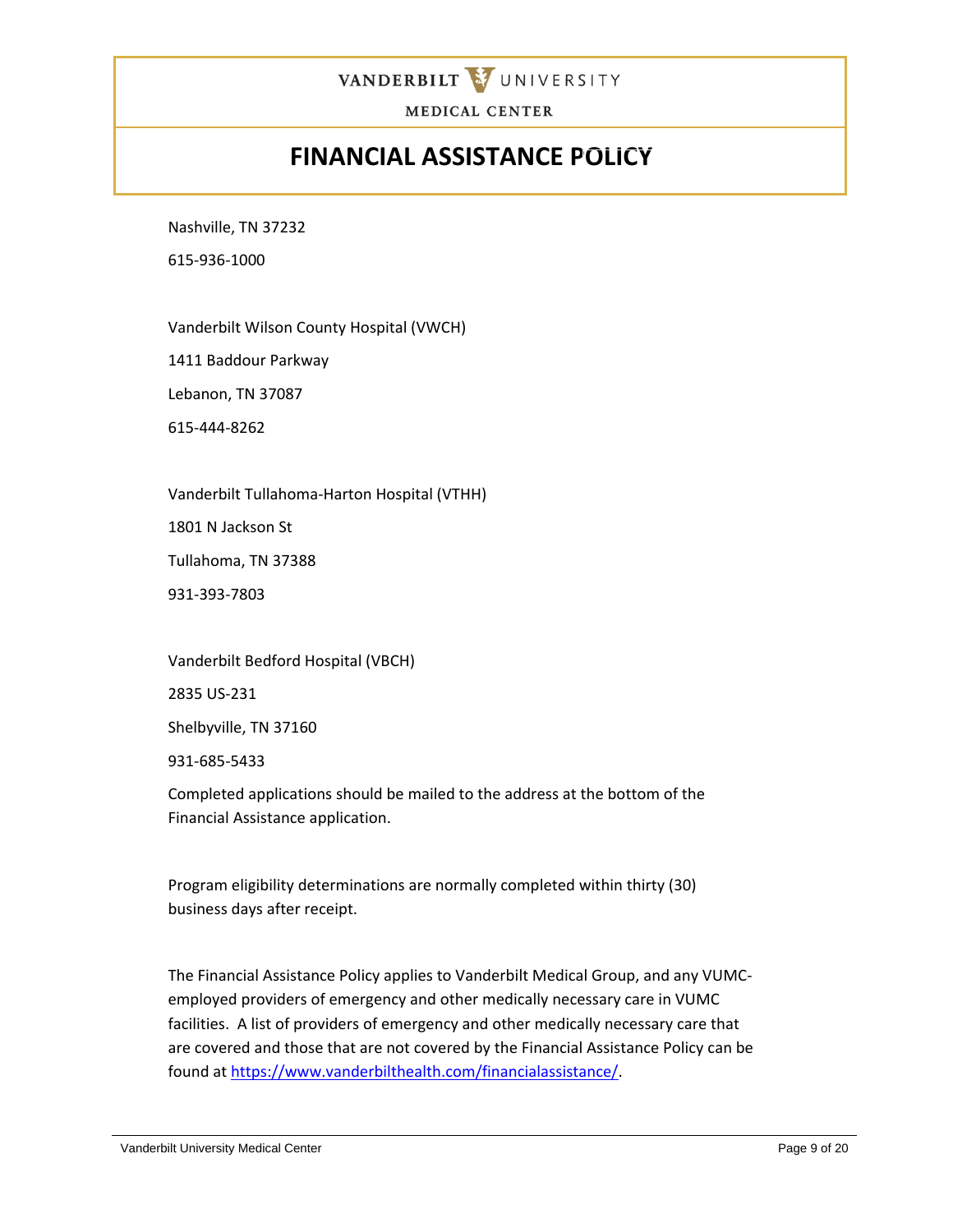

### **FINANCIAL ASSISTANCE POLICY**

Nashville, TN 37232

615-936-1000

Vanderbilt Wilson County Hospital (VWCH)

1411 Baddour Parkway

Lebanon, TN 37087

615-444-8262

Vanderbilt Tullahoma-Harton Hospital (VTHH)

1801 N Jackson St

Tullahoma, TN 37388

931-393-7803

Vanderbilt Bedford Hospital (VBCH)

2835 US-231

Shelbyville, TN 37160

931-685-5433

Completed applications should be mailed to the address at the bottom of the Financial Assistance application.

Program eligibility determinations are normally completed within thirty (30) business days after receipt.

The Financial Assistance Policy applies to Vanderbilt Medical Group, and any VUMCemployed providers of emergency and other medically necessary care in VUMC facilities. A list of providers of emergency and other medically necessary care that are covered and those that are not covered by the Financial Assistance Policy can be found at [https://www.vanderbilthealth.com/financialassistance/.](https://www.vanderbilthealth.com/financialassistance/)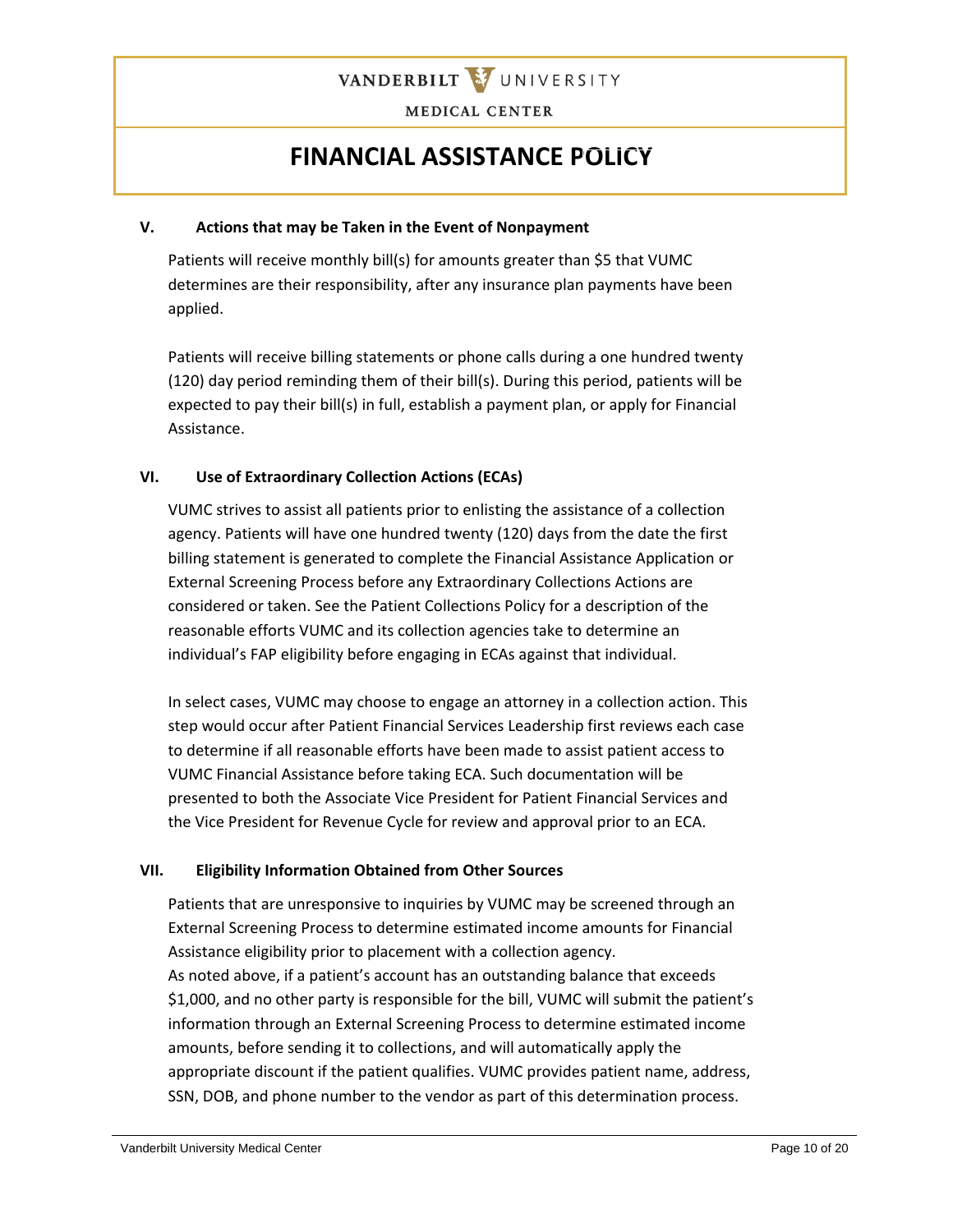

## **FINANCIAL ASSISTANCE POLICY**

### **V. Actions that may be Taken in the Event of Nonpayment**

Patients will receive monthly bill(s) for amounts greater than \$5 that VUMC determines are their responsibility, after any insurance plan payments have been applied.

Patients will receive billing statements or phone calls during a one hundred twenty (120) day period reminding them of their bill(s). During this period, patients will be expected to pay their bill(s) in full, establish a payment plan, or apply for Financial Assistance.

### **VI. Use of Extraordinary Collection Actions (ECAs)**

VUMC strives to assist all patients prior to enlisting the assistance of a collection agency. Patients will have one hundred twenty (120) days from the date the first billing statement is generated to complete the Financial Assistance Application or External Screening Process before any Extraordinary Collections Actions are considered or taken. See the Patient Collections Policy for a description of the reasonable efforts VUMC and its collection agencies take to determine an individual's FAP eligibility before engaging in ECAs against that individual.

In select cases, VUMC may choose to engage an attorney in a collection action. This step would occur after Patient Financial Services Leadership first reviews each case to determine if all reasonable efforts have been made to assist patient access to VUMC Financial Assistance before taking ECA. Such documentation will be presented to both the Associate Vice President for Patient Financial Services and the Vice President for Revenue Cycle for review and approval prior to an ECA.

### **VII. Eligibility Information Obtained from Other Sources**

Patients that are unresponsive to inquiries by VUMC may be screened through an External Screening Process to determine estimated income amounts for Financial Assistance eligibility prior to placement with a collection agency. As noted above, if a patient's account has an outstanding balance that exceeds \$1,000, and no other party is responsible for the bill, VUMC will submit the patient's information through an External Screening Process to determine estimated income amounts, before sending it to collections, and will automatically apply the appropriate discount if the patient qualifies. VUMC provides patient name, address, SSN, DOB, and phone number to the vendor as part of this determination process.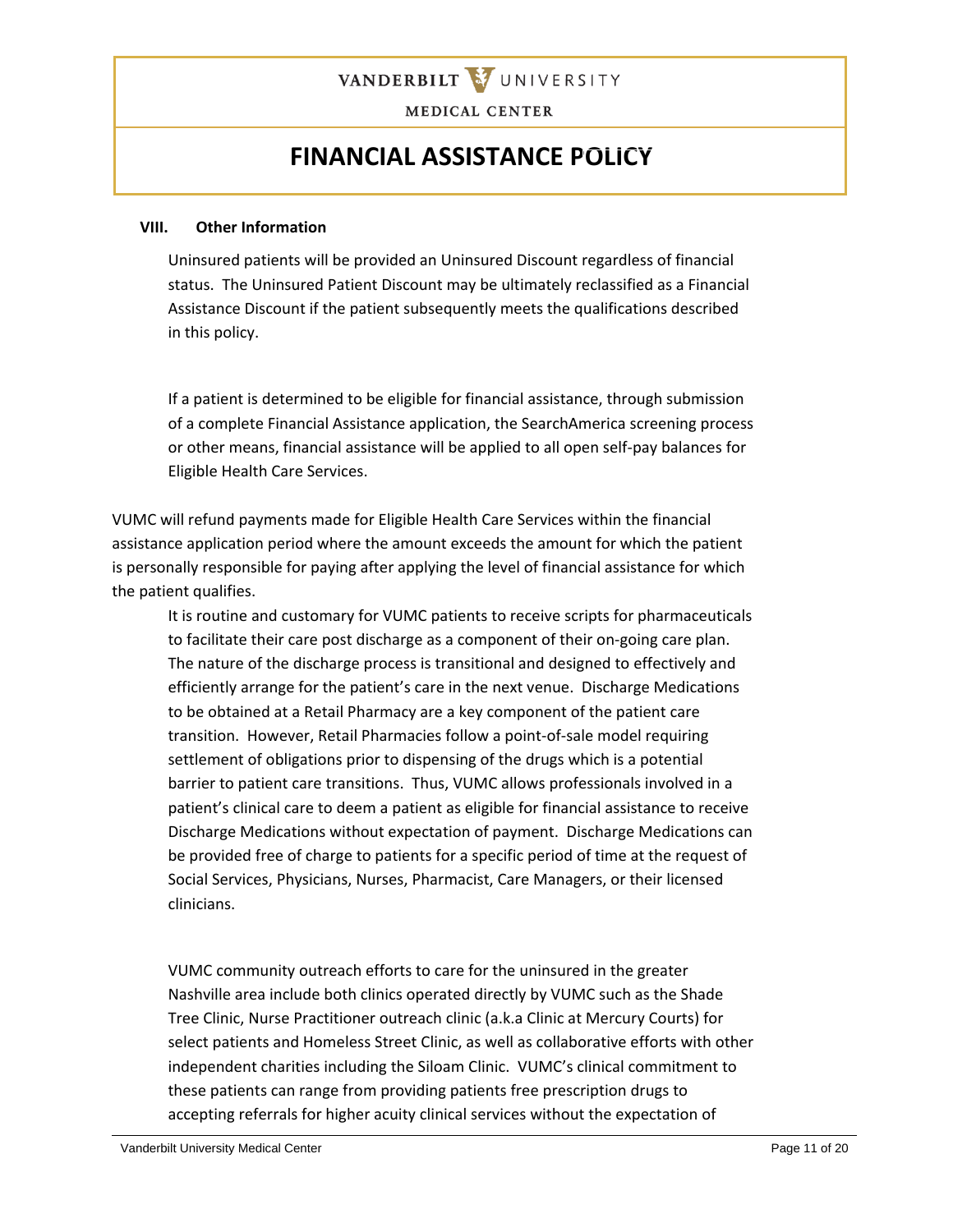

### **FINANCIAL ASSISTANCE POLICY**

#### **VIII. Other Information**

Uninsured patients will be provided an Uninsured Discount regardless of financial status. The Uninsured Patient Discount may be ultimately reclassified as a Financial Assistance Discount if the patient subsequently meets the qualifications described in this policy.

If a patient is determined to be eligible for financial assistance, through submission of a complete Financial Assistance application, the SearchAmerica screening process or other means, financial assistance will be applied to all open self-pay balances for Eligible Health Care Services.

VUMC will refund payments made for Eligible Health Care Services within the financial assistance application period where the amount exceeds the amount for which the patient is personally responsible for paying after applying the level of financial assistance for which the patient qualifies.

It is routine and customary for VUMC patients to receive scripts for pharmaceuticals to facilitate their care post discharge as a component of their on-going care plan. The nature of the discharge process is transitional and designed to effectively and efficiently arrange for the patient's care in the next venue. Discharge Medications to be obtained at a Retail Pharmacy are a key component of the patient care transition. However, Retail Pharmacies follow a point-of-sale model requiring settlement of obligations prior to dispensing of the drugs which is a potential barrier to patient care transitions. Thus, VUMC allows professionals involved in a patient's clinical care to deem a patient as eligible for financial assistance to receive Discharge Medications without expectation of payment. Discharge Medications can be provided free of charge to patients for a specific period of time at the request of Social Services, Physicians, Nurses, Pharmacist, Care Managers, or their licensed clinicians.

VUMC community outreach efforts to care for the uninsured in the greater Nashville area include both clinics operated directly by VUMC such as the Shade Tree Clinic, Nurse Practitioner outreach clinic (a.k.a Clinic at Mercury Courts) for select patients and Homeless Street Clinic, as well as collaborative efforts with other independent charities including the Siloam Clinic. VUMC's clinical commitment to these patients can range from providing patients free prescription drugs to accepting referrals for higher acuity clinical services without the expectation of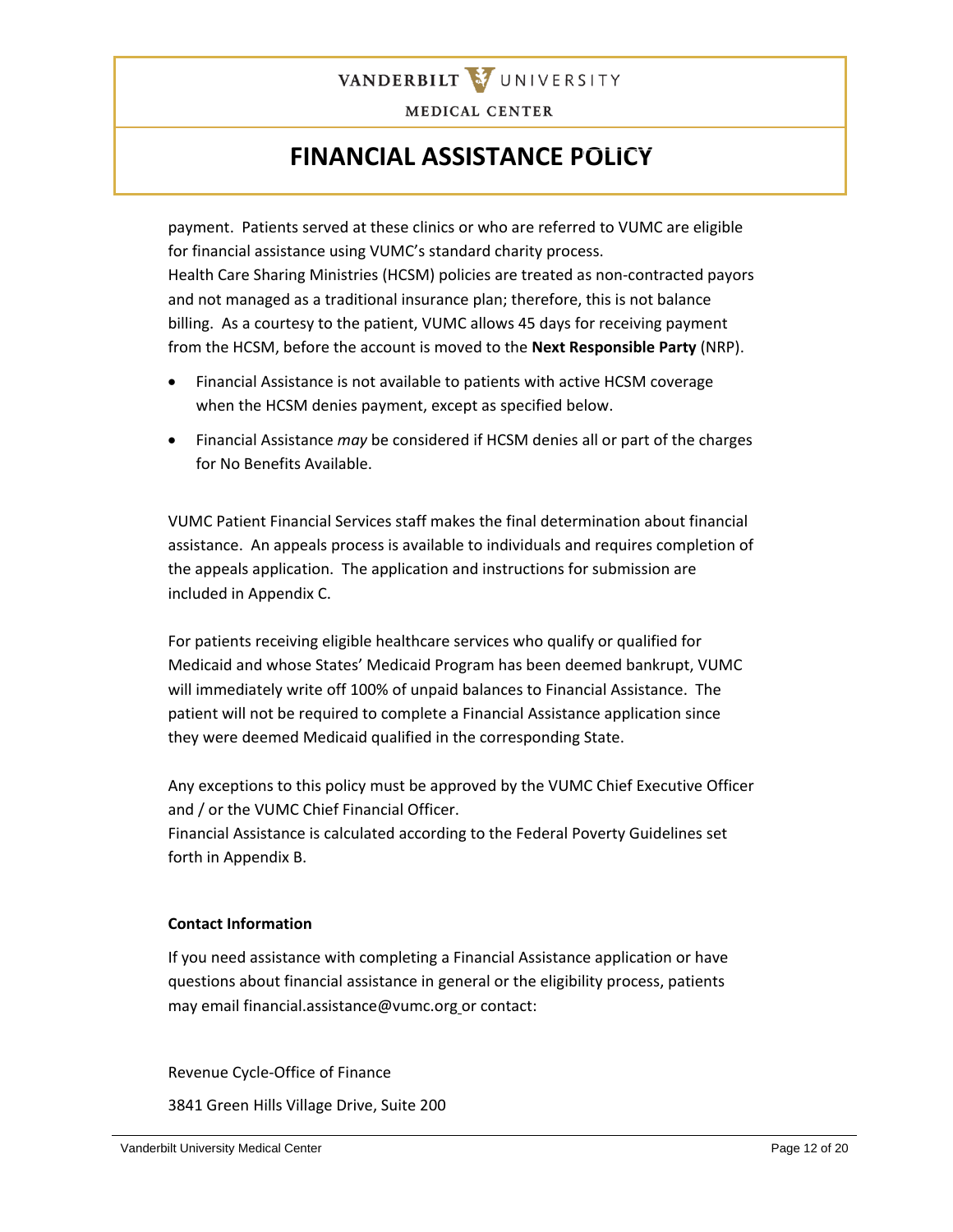

### **FINANCIAL ASSISTANCE POLICY**

payment. Patients served at these clinics or who are referred to VUMC are eligible for financial assistance using VUMC's standard charity process. Health Care Sharing Ministries (HCSM) policies are treated as non-contracted payors and not managed as a traditional insurance plan; therefore, this is not balance billing. As a courtesy to the patient, VUMC allows 45 days for receiving payment from the HCSM, before the account is moved to the **Next Responsible Party** (NRP).

- Financial Assistance is not available to patients with active HCSM coverage when the HCSM denies payment, except as specified below.
- Financial Assistance *may* be considered if HCSM denies all or part of the charges for No Benefits Available.

VUMC Patient Financial Services staff makes the final determination about financial assistance. An appeals process is available to individuals and requires completion of the appeals application. The application and instructions for submission are included in Appendix C.

For patients receiving eligible healthcare services who qualify or qualified for Medicaid and whose States' Medicaid Program has been deemed bankrupt, VUMC will immediately write off 100% of unpaid balances to Financial Assistance. The patient will not be required to complete a Financial Assistance application since they were deemed Medicaid qualified in the corresponding State.

Any exceptions to this policy must be approved by the VUMC Chief Executive Officer and / or the VUMC Chief Financial Officer.

Financial Assistance is calculated according to the Federal Poverty Guidelines set forth in Appendix B.

### **Contact Information**

If you need assistance with completing a Financial Assistance application or have questions about financial assistance in general or the eligibility process, patients may email financial.assistance@vumc.org or contact:

Revenue Cycle-Office of Finance

3841 Green Hills Village Drive, Suite 200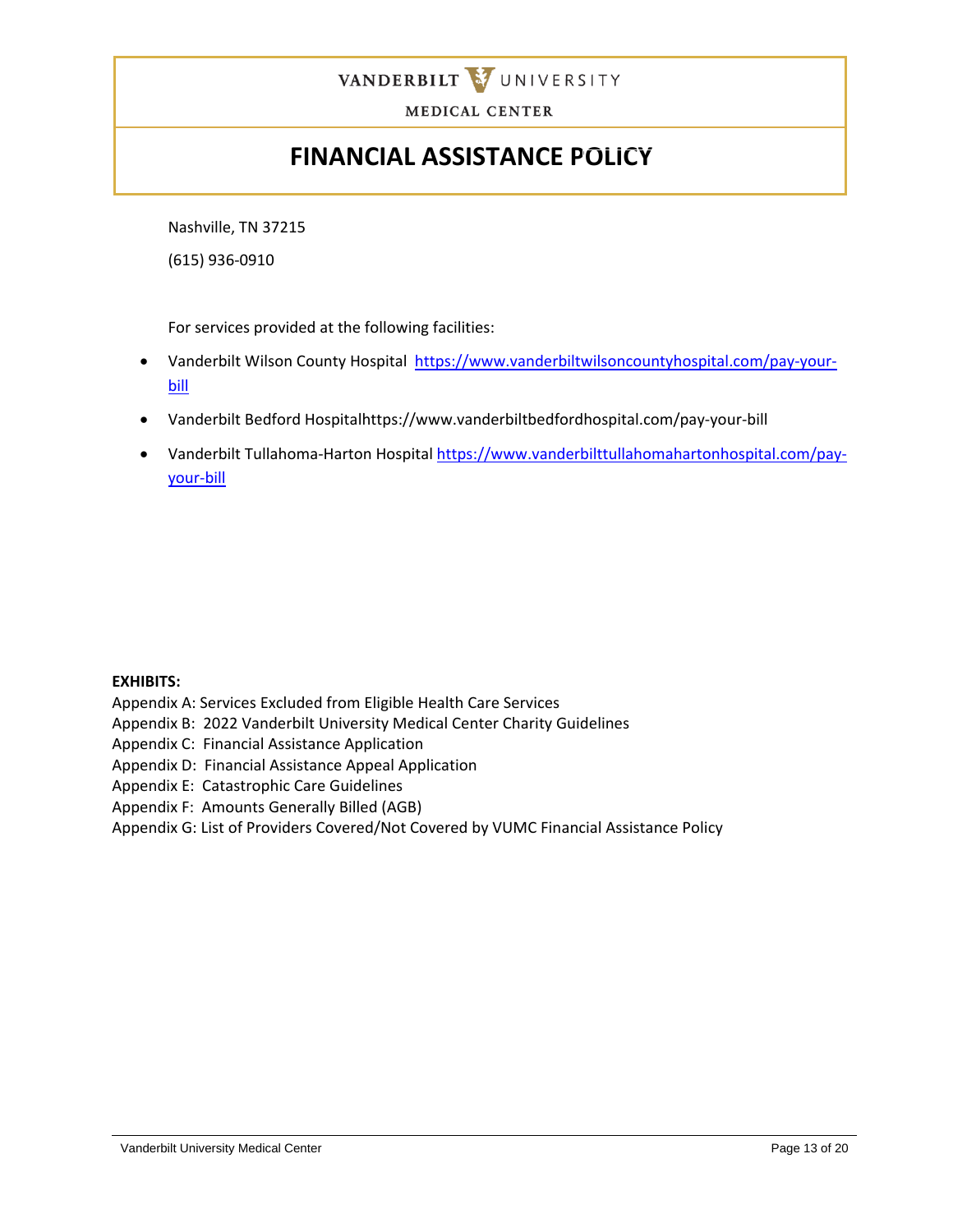

# **FINANCIAL ASSISTANCE POLICY**

Nashville, TN 37215

(615) 936-0910

For services provided at the following facilities:

- Vanderbilt Wilson County Hospital [https://www.vanderbiltwilsoncountyhospital.com/pay-your](https://www.vanderbiltwilsoncountyhospital.com/pay-your-bill)[bill](https://www.vanderbiltwilsoncountyhospital.com/pay-your-bill)
- Vanderbilt Bedford Hospitalhttps://www.vanderbiltbedfordhospital.com/pay-your-bill
- Vanderbilt Tullahoma-Harton Hospital [https://www.vanderbilttullahomahartonhospital.com/pay](https://www.vanderbilttullahomahartonhospital.com/pay-your-bill)[your-bill](https://www.vanderbilttullahomahartonhospital.com/pay-your-bill)

### **EXHIBITS:**

Appendix A: Services Excluded from Eligible Health Care Services

Appendix B: 2022 Vanderbilt University Medical Center Charity Guidelines

Appendix C: Financial Assistance Application

- Appendix D: Financial Assistance Appeal Application
- Appendix E: Catastrophic Care Guidelines
- Appendix F: Amounts Generally Billed (AGB)
- Appendix G: List of Providers Covered/Not Covered by VUMC Financial Assistance Policy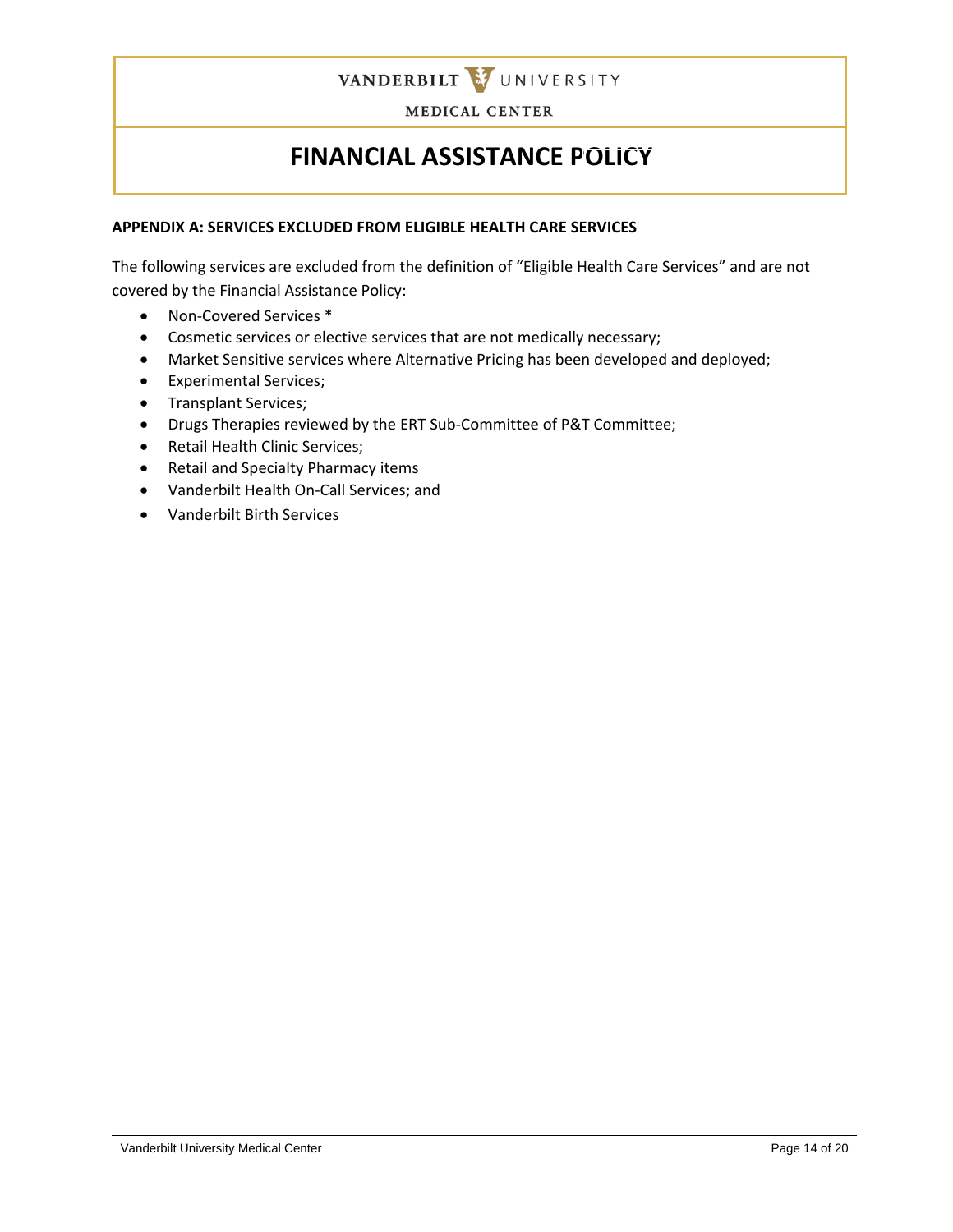

# **FINANCIAL ASSISTANCE POLICY**

#### **APPENDIX A: SERVICES EXCLUDED FROM ELIGIBLE HEALTH CARE SERVICES**

The following services are excluded from the definition of "Eligible Health Care Services" and are not covered by the Financial Assistance Policy:

- Non-Covered Services \*
- Cosmetic services or elective services that are not medically necessary;
- Market Sensitive services where Alternative Pricing has been developed and deployed;
- Experimental Services;
- Transplant Services;
- Drugs Therapies reviewed by the ERT Sub-Committee of P&T Committee;
- Retail Health Clinic Services;
- Retail and Specialty Pharmacy items
- Vanderbilt Health On-Call Services; and
- Vanderbilt Birth Services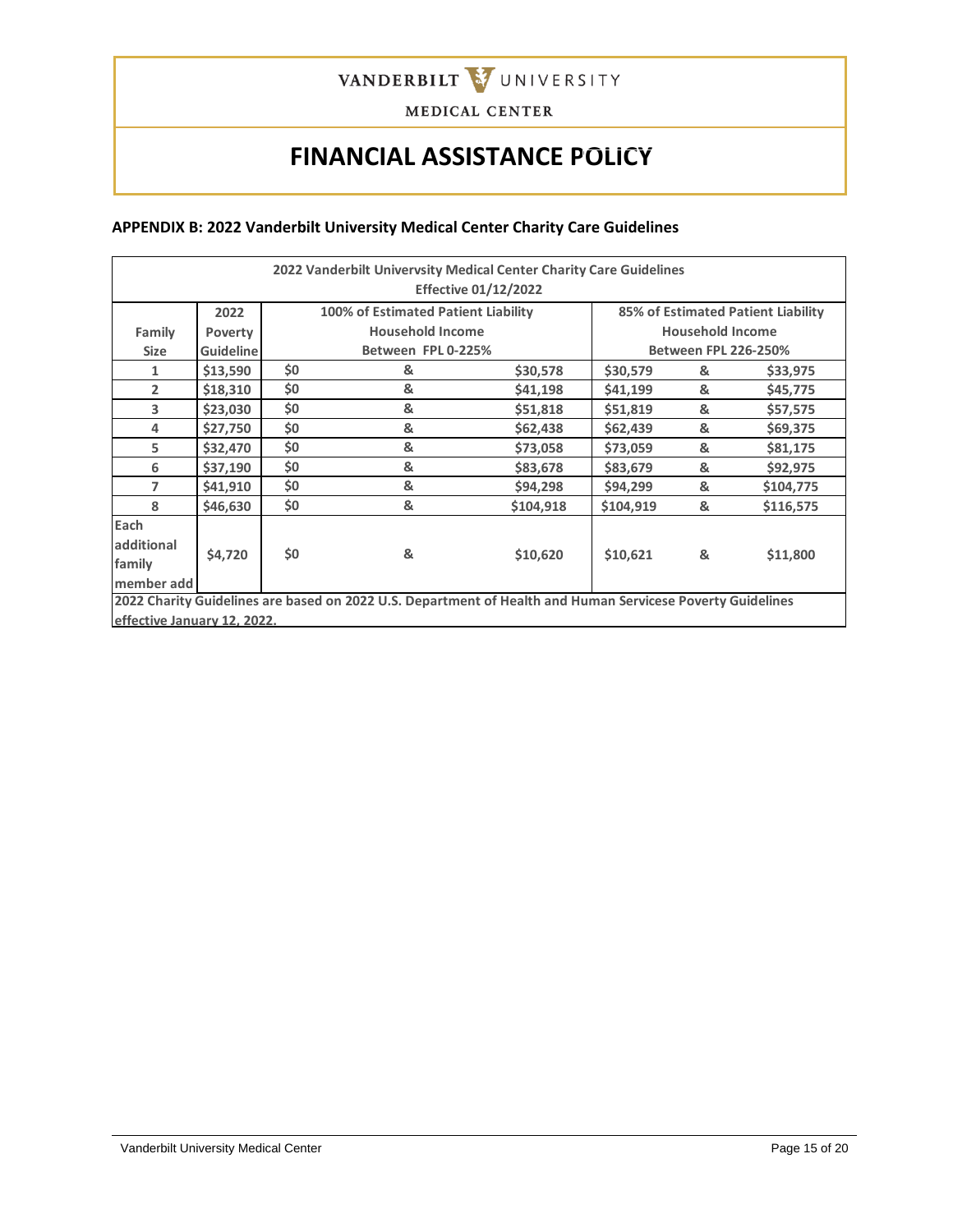

# **FINANCIAL ASSISTANCE POLICY**

#### **APPENDIX B: 2022 Vanderbilt University Medical Center Charity Care Guidelines**

| 2022 Vanderbilt Univervsity Medical Center Charity Care Guidelines<br><b>Effective 01/12/2022</b> |                  |     |                                                                                                            |           |           |                             |                                    |
|---------------------------------------------------------------------------------------------------|------------------|-----|------------------------------------------------------------------------------------------------------------|-----------|-----------|-----------------------------|------------------------------------|
|                                                                                                   | 2022             |     | 100% of Estimated Patient Liability                                                                        |           |           |                             | 85% of Estimated Patient Liability |
| Family                                                                                            | Poverty          |     | <b>Household Income</b>                                                                                    |           |           | <b>Household Income</b>     |                                    |
| <b>Size</b>                                                                                       | <b>Guideline</b> |     | Between FPL 0-225%                                                                                         |           |           | <b>Between FPL 226-250%</b> |                                    |
| 1                                                                                                 | \$13,590         | \$0 | &                                                                                                          | \$30,578  | \$30,579  | &                           | \$33,975                           |
| $\overline{2}$                                                                                    | \$18,310         | \$0 | &                                                                                                          | \$41,198  | \$41,199  | &                           | \$45,775                           |
| 3                                                                                                 | \$23,030         | \$0 | &                                                                                                          | \$51,818  | \$51,819  | &                           | \$57,575                           |
| 4                                                                                                 | \$27,750         | \$0 | &                                                                                                          | \$62,438  | \$62,439  | &                           | \$69,375                           |
| 5                                                                                                 | \$32,470         | \$0 | &                                                                                                          | \$73,058  | \$73,059  | &                           | \$81,175                           |
| 6                                                                                                 | \$37,190         | \$0 | &                                                                                                          | \$83,678  | \$83,679  | &                           | \$92,975                           |
| 7                                                                                                 | \$41,910         | \$0 | &                                                                                                          | \$94,298  | \$94,299  | &                           | \$104,775                          |
| 8                                                                                                 | \$46,630         | \$0 | &                                                                                                          | \$104,918 | \$104,919 | &                           | \$116,575                          |
| Each                                                                                              |                  |     |                                                                                                            |           |           |                             |                                    |
| additional                                                                                        |                  | \$0 | &                                                                                                          |           |           |                             |                                    |
| family                                                                                            | \$4,720          |     |                                                                                                            | \$10,620  | \$10,621  | &                           | \$11,800                           |
| member add                                                                                        |                  |     |                                                                                                            |           |           |                             |                                    |
|                                                                                                   |                  |     | 2022 Charity Guidelines are based on 2022 U.S. Department of Health and Human Servicese Poverty Guidelines |           |           |                             |                                    |
| effective January 12, 2022.                                                                       |                  |     |                                                                                                            |           |           |                             |                                    |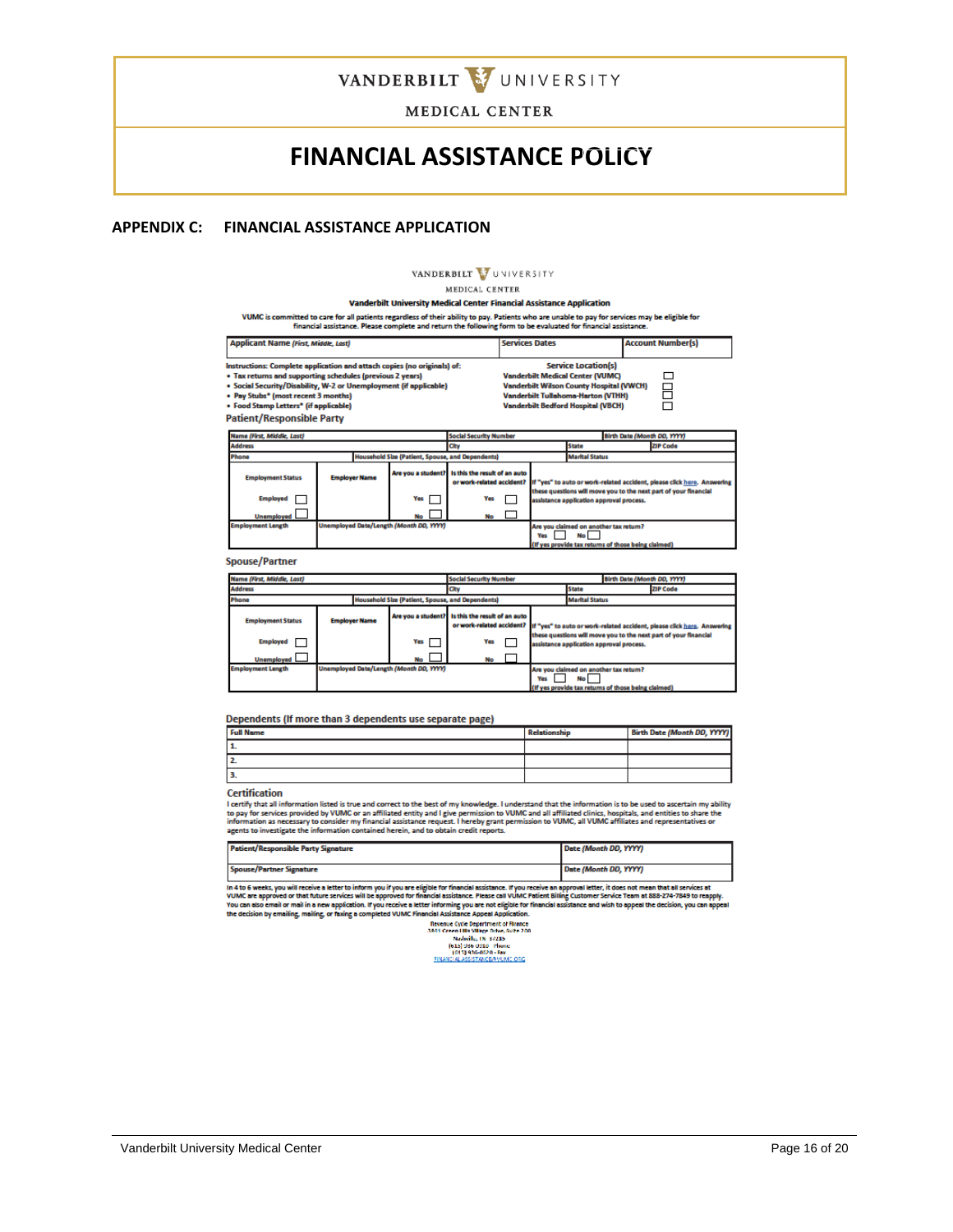

### **FINANCIAL ASSISTANCE POLICY**

#### **APPENDIX C: FINANCIAL ASSISTANCE APPLICATION**

#### **VANDERBILT** VUNIVERSITY

MEDICAL CENTER

#### **Vanderbilt University Medical Center Financial Assistance Application**

VUMC is committed to care for all patients regardless of their ability to pay. Patients who are unable to pay for services may be eligible for<br>financial assistance. Please complete and return the following form to be evalu

| <b>Services Dates</b>      | <b>Account Number(s)</b>                                                                                                                                                             |
|----------------------------|--------------------------------------------------------------------------------------------------------------------------------------------------------------------------------------|
|                            |                                                                                                                                                                                      |
| <b>Service Location(s)</b> |                                                                                                                                                                                      |
|                            |                                                                                                                                                                                      |
|                            |                                                                                                                                                                                      |
|                            |                                                                                                                                                                                      |
|                            |                                                                                                                                                                                      |
|                            | <b>Vanderbilt Medical Center (VUMC)</b><br><b>Vanderbilt Wilson County Hospital (VWCH)</b><br><b>Vanderbilt Tullahoma-Harton (VTHH)</b><br><b>Vanderbilt Bedford Hospital (VBCH)</b> |

**Patient/Responsible Party** 

| Name (First, Middle, Last)                                       |                                         |                                                                   |                                        | Birth Date (Month DD, YYYY)<br><b>Social Security Number</b> |              |                       |                                                     |                                                                                                                                             |
|------------------------------------------------------------------|-----------------------------------------|-------------------------------------------------------------------|----------------------------------------|--------------------------------------------------------------|--------------|-----------------------|-----------------------------------------------------|---------------------------------------------------------------------------------------------------------------------------------------------|
| <b>Address</b><br>City                                           |                                         |                                                                   |                                        |                                                              | <b>State</b> |                       | <b>ZIP Code</b>                                     |                                                                                                                                             |
| Household Size (Patient, Spouse, and Dependents)<br>Phone        |                                         |                                                                   |                                        |                                                              |              | <b>Marital Status</b> |                                                     |                                                                                                                                             |
| <b>Employment Status</b><br><b>Employed</b><br><b>Unemployed</b> | <b>Employer Name</b>                    | Are you a student? Its this the result of an auto<br>Yes  <br>No. | or work-related accident?<br>Yes<br>No |                                                              |              |                       | assistance application approval process.            | If "yes" to auto or work-related accident, please click here. Answering<br>these questions will move you to the next part of your financial |
| <b>Employment Length</b>                                         | Unemployed Date/Length (Month DD, YYYY) |                                                                   |                                        |                                                              | Yes          | <b>No</b>             | Are you claimed on another tax return?              |                                                                                                                                             |
|                                                                  |                                         |                                                                   |                                        |                                                              |              |                       | (If yes provide tax returns of those being claimed) |                                                                                                                                             |

**Spouse/Partner** 

| Name (First, Middle, Last)                                                                                                                                                                                                                                                                                                                                                                     |  |  | <b>Social Security Number</b><br>Birth Date (Month DD, YYYY) |                                 |  |                       |           |                                                                                               |  |
|------------------------------------------------------------------------------------------------------------------------------------------------------------------------------------------------------------------------------------------------------------------------------------------------------------------------------------------------------------------------------------------------|--|--|--------------------------------------------------------------|---------------------------------|--|-----------------------|-----------|-----------------------------------------------------------------------------------------------|--|
| <b>Address</b>                                                                                                                                                                                                                                                                                                                                                                                 |  |  | City                                                         | <b>ZIP Code</b><br><b>State</b> |  |                       |           |                                                                                               |  |
| Phone<br>Household Size (Patient, Spouse, and Dependents)                                                                                                                                                                                                                                                                                                                                      |  |  |                                                              |                                 |  | <b>Marital Status</b> |           |                                                                                               |  |
| Are you a student? Is this the result of an auto<br><b>Employer Name</b><br><b>Employment Status</b><br>or work-related accident?<br>If "yes" to auto or work-related accident, please click here. Answering<br>these questions will move you to the next part of your financial<br><b>Employed</b><br>Yes<br>Yes<br>assistance application approval process.<br><b>Unemployed</b><br>No<br>No |  |  |                                                              |                                 |  |                       |           |                                                                                               |  |
| <b>Employment Length</b>                                                                                                                                                                                                                                                                                                                                                                       |  |  | Unemployed Date/Length (Month DD, YYYY)                      |                                 |  | Yes                   | <b>No</b> | Are you claimed on another tax return?<br>(If yes provide tax returns of those being claimed) |  |

#### Dependents (If more than 3 dependents use separate page)

| <b>Full Name</b> | <b>Relationship</b> | Birth Date (Month DD, YYYY) |
|------------------|---------------------|-----------------------------|
|                  |                     |                             |
| $\sim$           |                     |                             |
|                  |                     |                             |

#### Certification

Curving that illumination listed is true and correct to the best of my knowledge. I understand that the information is to be used to ascertain my ability to explicit the state of the state of the state of the state of the

|                                                                                                                                                                               | <b>Patient/Responsible Party Signature</b> | Date (Month DD, YYYY) |  |
|-------------------------------------------------------------------------------------------------------------------------------------------------------------------------------|--------------------------------------------|-----------------------|--|
|                                                                                                                                                                               | <b>Spouse/Partner Signature</b>            | Date (Month DD, YYYY) |  |
| In 4 to 6 weeks, we will receive a letter to inform you if you are alighte for financial arristance. If you receive an announced letter, it does not mean that all remines at |                                            |                       |  |

In 4 to 6 weeks, you will receive a letter to inform you if you are eligible for financial assistance. If you receive an approval letter, it does not mean that all services at<br>VOIAC are approved or that future services wil peal

Revenue Cycle Department of Finance<br>3841 Green Hills Village Drive, Suite 200 Man Green Hubble High High State 20<br>
[615] 936 0910 Phone<br>
[615] 936 0910 Phone<br>
[615] 936-0020 - Fax<br>
FINANCIAL ASSISTANCE/WUME ORG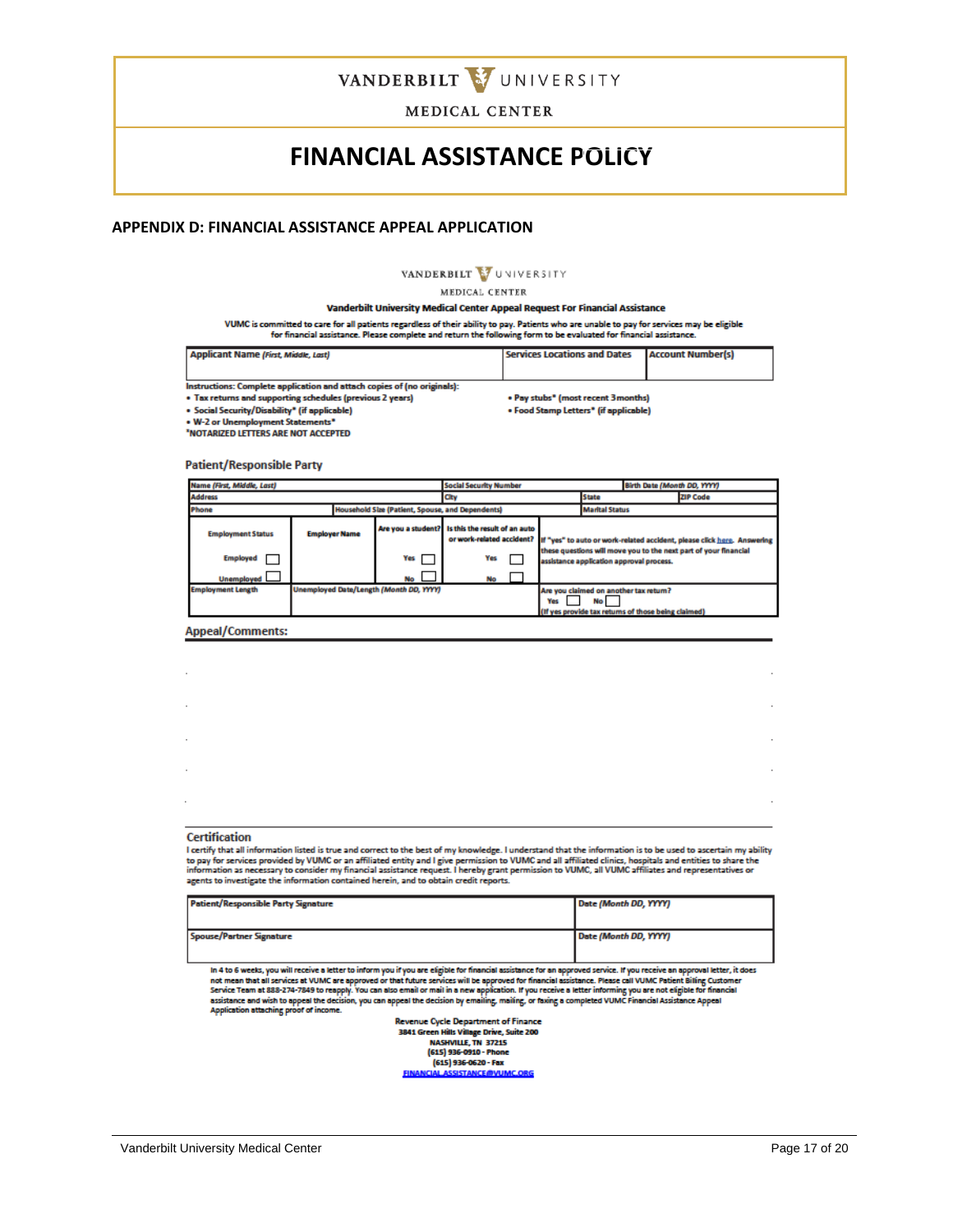

### **FINANCIAL ASSISTANCE POLICY**

#### **APPENDIX D: FINANCIAL ASSISTANCE APPEAL APPLICATION**

VANDERBILT VUNIVERSITY

MEDICAL CENTER

Vanderbilt University Medical Center Appeal Request For Financial Assistance

VUMC is committed to care for all patients regardless of their ability to pay. Patients who are unable to pay for services may be eligible for financial assistance. Please complete and return the following form to be evaluated for financial assistance.

| <b>Applicant Name (First, Middle, Last)</b>                             | <b>Services Locations and Dates</b>   | <b>Account Number(s)</b> |
|-------------------------------------------------------------------------|---------------------------------------|--------------------------|
|                                                                         |                                       |                          |
| Instructions: Complete application and attach copies of (no originals): |                                       |                          |
| • Tax returns and supporting schedules (previous 2 years)               | • Pay stubs* (most recent 3 months)   |                          |
| • Social Security/Disability* (if applicable)                           | • Food Stamp Letters" (if applicable) |                          |
| • W-2 or Unemployment Statements"                                       |                                       |                          |

**NOTARIZED LETTERS ARE NOT ACCEPTED** 

**Patient/Responsible Party** 

| Name (First, Middle, Last)                                |                                         |                                                  | <b>Social Security Number</b> | Birth Date (Month DD, YYYY)                                                                                  |                                 |                                                     |                                                                                                   |
|-----------------------------------------------------------|-----------------------------------------|--------------------------------------------------|-------------------------------|--------------------------------------------------------------------------------------------------------------|---------------------------------|-----------------------------------------------------|---------------------------------------------------------------------------------------------------|
| <b>Address</b><br>City                                    |                                         |                                                  |                               |                                                                                                              | <b>ZIP Code</b><br><b>State</b> |                                                     |                                                                                                   |
| Phone<br>Household Size (Patient, Spouse, and Dependents) |                                         |                                                  |                               |                                                                                                              | <b>Marital Status</b>           |                                                     |                                                                                                   |
| <b>Employment Status</b>                                  | <b>Employer Name</b>                    | Are you a student? Is this the result of an auto |                               |                                                                                                              |                                 |                                                     | or work-related accident? If "yes" to auto or work-related accident, please click here. Answering |
| <b>Employed</b>                                           |                                         | <b>Yes</b>                                       | Yes                           | these questions will move you to the next part of your financial<br>assistance application approval process. |                                 |                                                     |                                                                                                   |
| <b>Unemployed</b>                                         |                                         | No                                               | No                            |                                                                                                              |                                 |                                                     |                                                                                                   |
| <b>Employment Length</b>                                  | Unemployed Date/Length (Month DD, YYYY) |                                                  |                               | <b>Yes</b>                                                                                                   | No I                            | Are you claimed on another tax return?              |                                                                                                   |
|                                                           |                                         |                                                  |                               |                                                                                                              |                                 | (If yes provide tax returns of those being claimed) |                                                                                                   |

**Appeal/Comments:** 

| <b>Certification</b> |  |  |
|----------------------|--|--|
|                      |  |  |
| $\cdot$              |  |  |
|                      |  |  |
| $\cdot$              |  |  |
| $\mathbf{r}$         |  |  |
| ٠                    |  |  |
|                      |  |  |

I certify that all information listed is true and correct to the best of my knowledge. I understand that the information is to be used to ascertain my ability The computer and momentum instead of the content of the permission to VUMC and all affiliated clinics, hospitals and entities to share the<br>information as necessary to consider my financial assistance request. I hereby gran

| <b>Patient/Responsible Party Signature</b> | Date (Month DD, YYYY) |
|--------------------------------------------|-----------------------|
|                                            |                       |
|                                            |                       |
|                                            |                       |
| <b>Spouse/Partner Signature</b>            | Date (Month DD, YYYY) |
|                                            |                       |
|                                            |                       |

In 4 to 6 weeks, you will receive a letter to inform you if you are eligible for financial assistance for an approved service. If you receive an approval letter, it does<br>not mean that all services at VUMC are approved or t

Revenue Cycle Department of Finance<br>3841 Green Hills Village Drive, Suite 200 NASHVILLE, TN 37215<br>(615) 936-0910 - Phone (615) 936-0620 - Fax<br>FINANCIAL ASSISTANCE PVUN **C.ORG**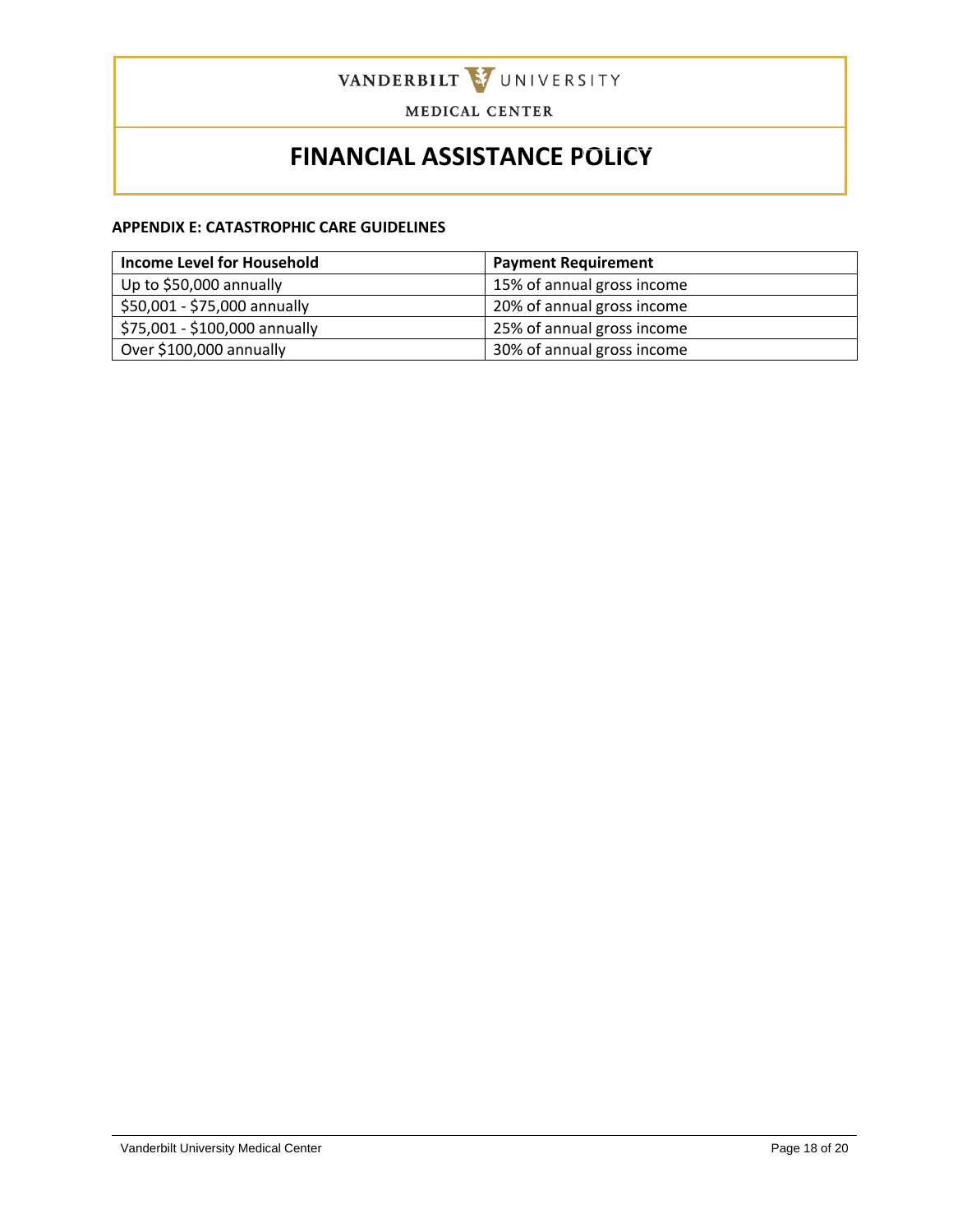

# **FINANCIAL ASSISTANCE POLICY**

#### **APPENDIX E: CATASTROPHIC CARE GUIDELINES**

| <b>Income Level for Household</b> | <b>Payment Requirement</b> |
|-----------------------------------|----------------------------|
| Up to \$50,000 annually           | 15% of annual gross income |
| \$50,001 - \$75,000 annually      | 20% of annual gross income |
| \$75,001 - \$100,000 annually     | 25% of annual gross income |
| Over \$100,000 annually           | 30% of annual gross income |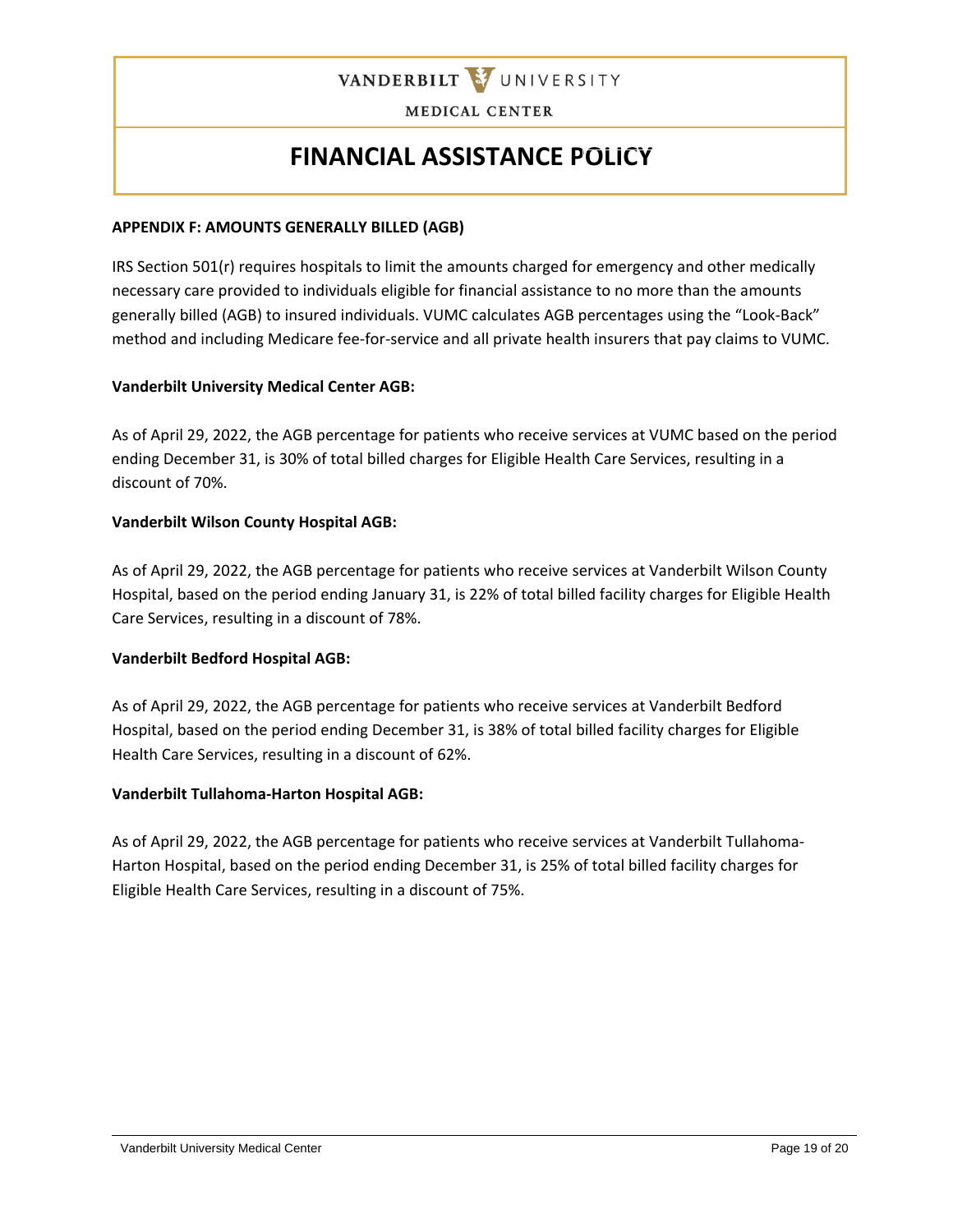

# **FINANCIAL ASSISTANCE POLICY**

#### **APPENDIX F: AMOUNTS GENERALLY BILLED (AGB)**

IRS Section 501(r) requires hospitals to limit the amounts charged for emergency and other medically necessary care provided to individuals eligible for financial assistance to no more than the amounts generally billed (AGB) to insured individuals. VUMC calculates AGB percentages using the "Look-Back" method and including Medicare fee-for-service and all private health insurers that pay claims to VUMC.

#### **Vanderbilt University Medical Center AGB:**

As of April 29, 2022, the AGB percentage for patients who receive services at VUMC based on the period ending December 31, is 30% of total billed charges for Eligible Health Care Services, resulting in a discount of 70%.

#### **Vanderbilt Wilson County Hospital AGB:**

As of April 29, 2022, the AGB percentage for patients who receive services at Vanderbilt Wilson County Hospital, based on the period ending January 31, is 22% of total billed facility charges for Eligible Health Care Services, resulting in a discount of 78%.

### **Vanderbilt Bedford Hospital AGB:**

As of April 29, 2022, the AGB percentage for patients who receive services at Vanderbilt Bedford Hospital, based on the period ending December 31, is 38% of total billed facility charges for Eligible Health Care Services, resulting in a discount of 62%.

#### **Vanderbilt Tullahoma-Harton Hospital AGB:**

As of April 29, 2022, the AGB percentage for patients who receive services at Vanderbilt Tullahoma-Harton Hospital, based on the period ending December 31, is 25% of total billed facility charges for Eligible Health Care Services, resulting in a discount of 75%.